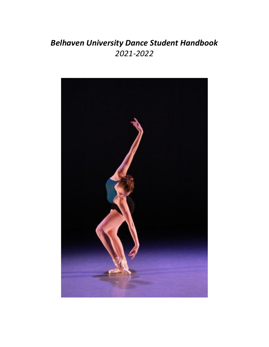# *Belhaven University Dance Student Handbook 2021-2022*

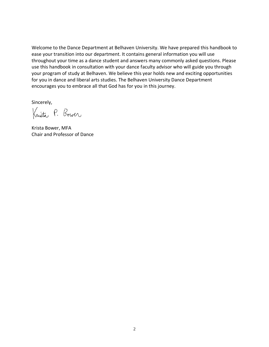Welcome to the Dance Department at Belhaven University. We have prepared this handbook to ease your transition into our department. It contains general information you will use throughout your time as a dance student and answers many commonly asked questions. Please use this handbook in consultation with your dance faculty advisor who will guide you through your program of study at Belhaven. We believe this year holds new and exciting opportunities for you in dance and liberal arts studies. The Belhaven University Dance Department encourages you to embrace all that God has for you in this journey.

Sincerely,

Krista P. Bower

Krista Bower, MFA Chair and Professor of Dance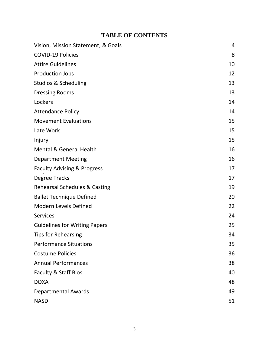# **TABLE OF CONTENTS**

| Vision, Mission Statement, & Goals       | 4  |
|------------------------------------------|----|
| <b>COVID-19 Policies</b>                 | 8  |
| <b>Attire Guidelines</b>                 | 10 |
| <b>Production Jobs</b>                   | 12 |
| <b>Studios &amp; Scheduling</b>          | 13 |
| <b>Dressing Rooms</b>                    | 13 |
| Lockers                                  | 14 |
| <b>Attendance Policy</b>                 | 14 |
| <b>Movement Evaluations</b>              | 15 |
| Late Work                                | 15 |
| Injury                                   | 15 |
| <b>Mental &amp; General Health</b>       | 16 |
| <b>Department Meeting</b>                | 16 |
| <b>Faculty Advising &amp; Progress</b>   | 17 |
| Degree Tracks                            | 17 |
| <b>Rehearsal Schedules &amp; Casting</b> | 19 |
| <b>Ballet Technique Defined</b>          | 20 |
| <b>Modern Levels Defined</b>             | 22 |
| <b>Services</b>                          | 24 |
| <b>Guidelines for Writing Papers</b>     | 25 |
| <b>Tips for Rehearsing</b>               | 34 |
| <b>Performance Situations</b>            | 35 |
| <b>Costume Policies</b>                  | 36 |
| <b>Annual Performances</b>               | 38 |
| Faculty & Staff Bios                     | 40 |
| <b>DOXA</b>                              | 48 |
| <b>Departmental Awards</b>               | 49 |
| <b>NASD</b>                              | 51 |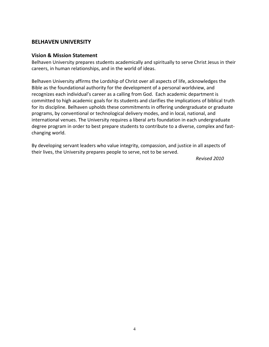# **BELHAVEN UNIVERSITY**

## **Vision & Mission Statement**

Belhaven University prepares students academically and spiritually to serve Christ Jesus in their careers, in human relationships, and in the world of ideas.

Belhaven University affirms the Lordship of Christ over all aspects of life, acknowledges the Bible as the foundational authority for the development of a personal worldview, and recognizes each individual's career as a calling from God. Each academic department is committed to high academic goals for its students and clarifies the implications of biblical truth for its discipline. Belhaven upholds these commitments in offering undergraduate or graduate programs, by conventional or technological delivery modes, and in local, national, and international venues. The University requires a liberal arts foundation in each undergraduate degree program in order to best prepare students to contribute to a diverse, complex and fastchanging world.

By developing servant leaders who value integrity, compassion, and justice in all aspects of their lives, the University prepares people to serve, not to be served.

 *Revised 2010*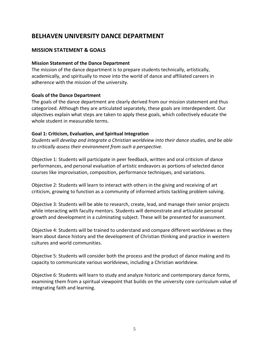# **BELHAVEN UNIVERSITY DANCE DEPARTMENT**

# **MISSION STATEMENT & GOALS**

#### **Mission Statement of the Dance Department**

The mission of the dance department is to prepare students technically, artistically, academically, and spiritually to move into the world of dance and affiliated careers in adherence with the mission of the university.

#### **Goals of the Dance Department**

The goals of the dance department are clearly derived from our mission statement and thus categorized. Although they are articulated separately, these goals are interdependent. Our objectives explain what steps are taken to apply these goals, which collectively educate the whole student in measurable terms.

## **Goal 1: Criticism, Evaluation, and Spiritual Integration**

*Students will develop and integrate a Christian worldview into their dance studies, and be able to critically assess their environment from such a perspective.* 

Objective 1: Students will participate in peer feedback, written and oral criticism of dance performances, and personal evaluation of artistic endeavors as portions of selected dance courses like improvisation, composition, performance techniques, and variations.

Objective 2: Students will learn to interact with others in the giving and receiving of art criticism, growing to function as a community of informed artists tackling problem solving.

Objective 3: Students will be able to research, create, lead, and manage their senior projects while interacting with faculty mentors. Students will demonstrate and articulate personal growth and development in a culminating subject. These will be presented for assessment.

Objective 4: Students will be trained to understand and compare different worldviews as they learn about dance history and the development of Christian thinking and practice in western cultures and world communities.

Objective 5: Students will consider both the process and the product of dance making and its capacity to communicate various worldviews, including a Christian worldview.

Objective 6: Students will learn to study and analyze historic and contemporary dance forms, examining them from a spiritual viewpoint that builds on the university core curriculum value of integrating faith and learning.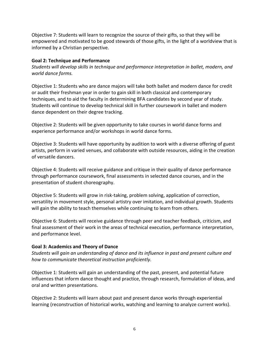Objective 7: Students will learn to recognize the source of their gifts, so that they will be empowered and motivated to be good stewards of those gifts, in the light of a worldview that is informed by a Christian perspective.

# **Goal 2: Technique and Performance**

*Students will develop skills in technique and performance interpretation in ballet, modern, and world dance forms.*

Objective 1: Students who are dance majors will take both ballet and modern dance for credit or audit their freshman year in order to gain skill in both classical and contemporary techniques, and to aid the faculty in determining BFA candidates by second year of study. Students will continue to develop technical skill in further coursework in ballet and modern dance dependent on their degree tracking.

Objective 2: Students will be given opportunity to take courses in world dance forms and experience performance and/or workshops in world dance forms.

Objective 3: Students will have opportunity by audition to work with a diverse offering of guest artists, perform in varied venues, and collaborate with outside resources, aiding in the creation of versatile dancers.

Objective 4: Students will receive guidance and critique in their quality of dance performance through performance coursework, final assessments in selected dance courses, and in the presentation of student choreography.

Objective 5: Students will grow in risk-taking, problem solving, application of correction, versatility in movement style, personal artistry over imitation, and individual growth. Students will gain the ability to teach themselves while continuing to learn from others.

Objective 6: Students will receive guidance through peer and teacher feedback, criticism, and final assessment of their work in the areas of technical execution, performance interpretation, and performance level.

# **Goal 3: Academics and Theory of Dance**

*Students will gain an understanding of dance and its influence in past and present culture and how to communicate theoretical instruction proficiently.*

Objective 1: Students will gain an understanding of the past, present, and potential future influences that inform dance thought and practice, through research, formulation of ideas, and oral and written presentations.

Objective 2: Students will learn about past and present dance works through experiential learning (reconstruction of historical works, watching and learning to analyze current works).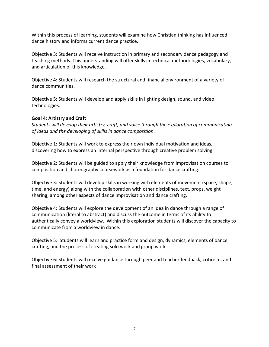Within this process of learning, students will examine how Christian thinking has influenced dance history and informs current dance practice.

Objective 3: Students will receive instruction in primary and secondary dance pedagogy and teaching methods. This understanding will offer skills in technical methodologies, vocabulary, and articulation of this knowledge.

Objective 4: Students will research the structural and financial environment of a variety of dance communities.

Objective 5: Students will develop and apply skills in lighting design, sound, and video technologies.

# **Goal 4: Artistry and Craft**

*Students will develop their artistry, craft, and voice through the exploration of communicating of ideas and the developing of skills in dance composition.*

Objective 1: Students will work to express their own individual motivation and ideas, discovering how to express an internal perspective through creative problem solving.

Objective 2: Students will be guided to apply their knowledge from improvisation courses to composition and choreography coursework as a foundation for dance crafting.

Objective 3: Students will develop skills in working with elements of movement (space, shape, time, and energy) along with the collaboration with other disciplines, text, props, weight sharing, among other aspects of dance improvisation and dance crafting.

Objective 4: Students will explore the development of an idea in dance through a range of communication (literal to abstract) and discuss the outcome in terms of its ability to authentically convey a worldview. Within this exploration students will discover the capacity to communicate from a worldview in dance.

Objective 5: Students will learn and practice form and design, dynamics, elements of dance crafting, and the process of creating solo work and group work.

Objective 6: Students will receive guidance through peer and teacher feedback, criticism, and final assessment of their work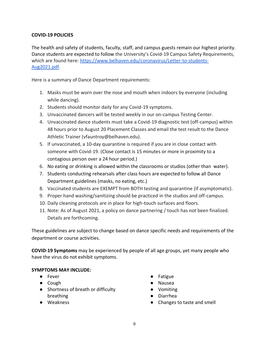# **COVID-19 POLICIES**

The health and safety of students, faculty, staff, and campus guests remain our highest priority. Dance students are expected to follow the University's Covid-19 Campus Safety Requirements, which are found here: [https://www.belhaven.edu/coronavirus/Letter-to-students-](https://www.belhaven.edu/coronavirus/Letter-to-students-Aug2021.pdf)[Aug2021.pdf.](https://www.belhaven.edu/coronavirus/Letter-to-students-Aug2021.pdf)

Here is a summary of Dance Department requirements:

- 1. Masks must be worn over the nose and mouth when indoors by everyone (including while dancing).
- 2. Students should monitor daily for any Covid-19 symptoms.
- 3. Unvaccinated dancers will be tested weekly in our on-campus Testing Center.
- 4. Unvaccinated dance students must take a Covid-19 diagnostic test (off-campus) within 48 hours prior to August 20 Placement Classes and email the test result to the Dance Athletic Trainer (vfauntroy@belhaven.edu).
- 5. If unvaccinated, a 10-day quarantine is required if you are in close contact with someone with Covid-19. (Close contact is 15 minutes or more in proximity to a contagious person over a 24 hour period.)
- 6. No eating or drinking is allowed within the classrooms or studios (other than water).
- 7. Students conducting rehearsals after class hours are expected to follow all Dance Department guidelines (masks, no eating, etc.)
- 8. Vaccinated students are EXEMPT from BOTH testing and quarantine (if asymptomatic).
- 9. Proper hand washing/sanitizing should be practiced in the studios and off-campus.
- 10. Daily cleaning protocols are in place for high-touch surfaces and floors.
- 11. Note: As of August 2021, a policy on dance partnering / touch has not been finalized. Details are forthcoming.

These guidelines are subject to change based on dance specific needs and requirements of the department or course activities.

**COVID-19 Symptoms** may be experienced by people of all age groups, yet many people who have the virus do not exhibit symptoms.

# **SYMPTOMS MAY INCLUDE:**

- Fever
- Cough
- Shortness of breath or difficulty breathing
- Weakness
- Fatigue
- Nausea
- Vomiting
- Diarrhea
- Changes to taste and smell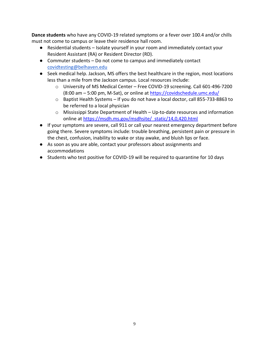**Dance students** who have any COVID-19 related symptoms or a fever over 100.4 and/or chills must not come to campus or leave their residence hall room.

- Residential students Isolate yourself in your room and immediately contact your Resident Assistant (RA) or Resident Director (RD).
- Commuter students Do not come to campus and immediately contact [covidtesting@belhaven.edu](mailto:covidtesting@belhaven.edu)
- Seek medical help. Jackson, MS offers the best healthcare in the region, most locations less than a mile from the Jackson campus. Local resources include:
	- o University of MS Medical Center Free COVID-19 screening. Call 601-496-7200 (8:00 am – 5:00 pm, M-Sat), or online at<https://covidschedule.umc.edu/>
	- o Baptist Health Systems If you do not have a local doctor, call 855-733-8863 to be referred to a local physician
	- $\circ$  Mississippi State Department of Health Up-to-date resources and information online at [https://msdh.ms.gov/msdhsite/\\_static/14,0,420.html](https://msdh.ms.gov/msdhsite/_static/14,0,420.html)
- If your symptoms are severe, call 911 or call your nearest emergency department before going there. Severe symptoms include: trouble breathing, persistent pain or pressure in the chest, confusion, inability to wake or stay awake, and bluish lips or face.
- As soon as you are able, contact your professors about assignments and accommodations
- Students who test positive for COVID-19 will be required to quarantine for 10 days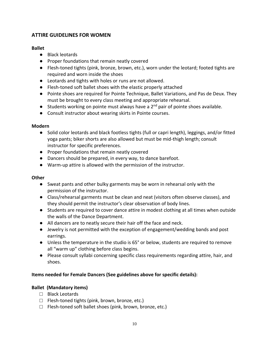# **ATTIRE GUIDELINES FOR WOMEN**

# **Ballet**

- Black leotards
- Proper foundations that remain neatly covered
- Flesh-toned tights (pink, bronze, brown, etc.), worn under the leotard; footed tights are required and worn inside the shoes
- Leotards and tights with holes or runs are not allowed.
- Flesh-toned soft ballet shoes with the elastic properly attached
- Pointe shoes are required for Pointe Technique, Ballet Variations, and Pas de Deux. They must be brought to every class meeting and appropriate rehearsal.
- Students working on pointe must always have a  $2<sup>nd</sup>$  pair of pointe shoes available.
- Consult instructor about wearing skirts in Pointe courses.

# **Modern**

- Solid color leotards and black footless tights (full or capri length), leggings, and/or fitted yoga pants; biker shorts are also allowed but must be mid-thigh length; consult instructor for specific preferences.
- Proper foundations that remain neatly covered
- Dancers should be prepared, in every way, to dance barefoot.
- Warm-up attire is allowed with the permission of the instructor.

# **Other**

- Sweat pants and other bulky garments may be worn in rehearsal only with the permission of the instructor.
- Class/rehearsal garments must be clean and neat (visitors often observe classes), and they should permit the instructor's clear observation of body lines.
- Students are required to cover dance attire in modest clothing at all times when outside the walls of the Dance Department.
- All dancers are to neatly secure their hair off the face and neck.
- Jewelry is not permitted with the exception of engagement/wedding bands and post earrings.
- Unless the temperature in the studio is 65° or below, students are required to remove all "warm up" clothing before class begins.
- Please consult syllabi concerning specific class requirements regarding attire, hair, and shoes.

# **Items needed for Female Dancers (See guidelines above for specific details):**

# **Ballet (Mandatory items)**

- □ Black Leotards
- $\Box$  Flesh-toned tights (pink, brown, bronze, etc.)
- $\Box$  Flesh-toned soft ballet shoes (pink, brown, bronze, etc.)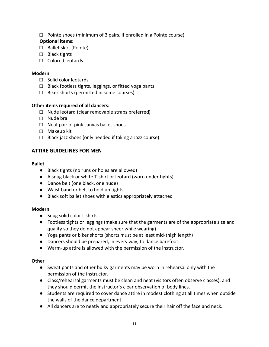$\Box$  Pointe shoes (minimum of 3 pairs, if enrolled in a Pointe course)

## **Optional items:**

- □ Ballet skirt (Pointe)
- □ Black tights
- □ Colored leotards

## **Modern**

- □ Solid color leotards
- $\Box$  Black footless tights, leggings, or fitted yoga pants
- $\Box$  Biker shorts (permitted in some courses)

# **Other items required of all dancers:**

- $\Box$  Nude leotard (clear removable straps preferred)
- □ Nude bra
- $\Box$  Neat pair of pink canvas ballet shoes
- □ Makeup kit
- $\Box$  Black jazz shoes (only needed if taking a Jazz course)

# **ATTIRE GUIDELINES FOR MEN**

#### **Ballet**

- Black tights (no runs or holes are allowed)
- A snug black or white T-shirt or leotard (worn under tights)
- Dance belt (one black, one nude)
- Waist band or belt to hold up tights
- Black soft ballet shoes with elastics appropriately attached

#### **Modern**

- Snug solid color t-shirts
- Footless tights or leggings (make sure that the garments are of the appropriate size and quality so they do not appear sheer while wearing)
- Yoga pants or biker shorts (shorts must be at least mid-thigh length)
- Dancers should be prepared, in every way, to dance barefoot.
- Warm-up attire is allowed with the permission of the instructor.

#### **Other**

- Sweat pants and other bulky garments may be worn in rehearsal only with the permission of the instructor.
- Class/rehearsal garments must be clean and neat (visitors often observe classes), and they should permit the instructor's clear observation of body lines.
- Students are required to cover dance attire in modest clothing at all times when outside the walls of the dance department.
- All dancers are to neatly and appropriately secure their hair off the face and neck.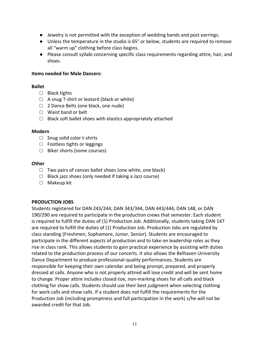- Jewelry is not permitted with the exception of wedding bands and post earrings.
- Unless the temperature in the studio is 65° or below, students are required to remove all "warm up" clothing before class begins.
- Please consult syllabi concerning specific class requirements regarding attire, hair, and shoes.

#### **Items needed for Male Dancers:**

#### **Ballet**

- □ Black tights
- □ A snug T-shirt or leotard (black or white)
- □ 2 Dance Belts (one black, one nude)
- □ Waist band or belt
- $\Box$  Black soft ballet shoes with elastics appropriately attached

#### **Modern**

- □ Snug solid color t-shirts
- □ Footless tights or leggings
- □ Biker shorts (some courses)

#### **Other**

- $\Box$  Two pairs of canvas ballet shoes (one white, one black)
- $\Box$  Black jazz shoes (only needed if taking a Jazz course)
- □ Makeup kit

#### **PRODUCTION JOBS**

Students registered for DAN 243/244, DAN 343/344, DAN 443/444, DAN 148, or DAN 190/290 are required to participate in the production crews that semester. Each student is required to fulfill the duties of (1) Production Job. Additionally, students taking DAN 147 are required to fulfill the duties of (1) Production Job. Production Jobs are regulated by class standing (Freshmen, Sophomore, Junior, Senior). Students are encouraged to participate in the different aspects of production and to take on leadership roles as they rise in class rank. This allows students to gain practical experience by assisting with duties related to the production process of our concerts. It also allows the Belhaven University Dance Department to produce professional-quality performances. Students are responsible for keeping their own calendar and being prompt, prepared, and properly dressed at calls. Anyone who is not properly attired will lose credit and will be sent home to change. Proper attire includes closed-toe, non-marking shoes for all calls and black clothing for show calls. Students should use their best judgment when selecting clothing for work calls and show calls. If a student does not fulfill the requirements for the Production Job (including promptness and full participation in the work) s/he will not be awarded credit for that Job.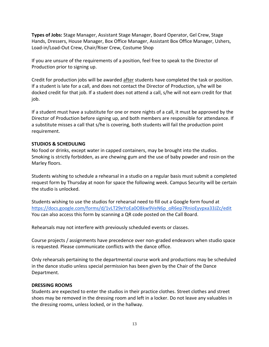**Types of Jobs:** Stage Manager, Assistant Stage Manager, Board Operator, Gel Crew, Stage Hands, Dressers, House Manager, Box Office Manager, Assistant Box Office Manager, Ushers, Load-in/Load-Out Crew, Chair/Riser Crew, Costume Shop

If you are unsure of the requirements of a position, feel free to speak to the Director of Production prior to signing up.

Credit for production jobs will be awarded after students have completed the task or position. If a student is late for a call, and does not contact the Director of Production, s/he will be docked credit for that job. If a student does not attend a call, s/he will not earn credit for that job.

If a student must have a substitute for one or more nights of a call, it must be approved by the Director of Production before signing up, and both members are responsible for attendance. If a substitute misses a call that s/he is covering, both students will fail the production point requirement.

## **STUDIOS & SCHEDULING**

No food or drinks, except water in capped containers, may be brought into the studios. Smoking is strictly forbidden, as are chewing gum and the use of baby powder and rosin on the Marley floors.

Students wishing to schedule a rehearsal in a studio on a regular basis must submit a completed request form by Thursday at noon for space the following week. Campus Security will be certain the studio is unlocked.

Students wishing to use the studios for rehearsal need to fill out a Google form found at [https://docs.google.com/forms/d/1vLT29eYoEa0O8kw9VeN6p\\_oR6ep7RnioEyvpxa33JZc/edit](https://docs.google.com/forms/d/1vLT29eYoEa0O8kw9VeN6p_oR6ep7RnioEyvpxa33JZc/edit) You can also access this form by scanning a QR code posted on the Call Board.

Rehearsals may not interfere with previously scheduled events or classes.

Course projects / assignments have precedence over non-graded endeavors when studio space is requested. Please communicate conflicts with the dance office.

Only rehearsals pertaining to the departmental course work and productions may be scheduled in the dance studio unless special permission has been given by the Chair of the Dance Department.

#### **DRESSING ROOMS**

Students are expected to enter the studios in their practice clothes. Street clothes and street shoes may be removed in the dressing room and left in a locker. Do not leave any valuables in the dressing rooms, unless locked, or in the hallway.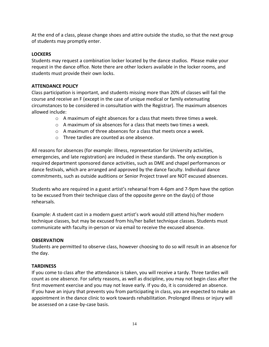At the end of a class, please change shoes and attire outside the studio, so that the next group of students may promptly enter.

# **LOCKERS**

Students may request a combination locker located by the dance studios. Please make your request in the dance office. Note there are other lockers available in the locker rooms, and students must provide their own locks.

## **ATTENDANCE POLICY**

Class participation is important, and students missing more than 20% of classes will fail the course and receive an F (except in the case of unique medical or family extenuating circumstances to be considered in consultation with the Registrar). The maximum absences allowed include:

- o A maximum of eight absences for a class that meets three times a week.
- $\circ$  A maximum of six absences for a class that meets two times a week.
- o A maximum of three absences for a class that meets once a week.
- o Three tardies are counted as one absence.

All reasons for absences (for example: illness, representation for University activities, emergencies, and late registration) are included in these standards. The only exception is required department sponsored dance activities, such as DME and chapel performances or dance festivals, which are arranged and approved by the dance faculty. Individual dance commitments, such as outside auditions or Senior Project travel are NOT excused absences.

Students who are required in a guest artist's rehearsal from 4-6pm and 7-9pm have the option to be excused from their technique class of the opposite genre on the day(s) of those rehearsals.

Example: A student cast in a modern guest artist's work would still attend his/her modern technique classes, but may be excused from his/her ballet technique classes. Students must communicate with faculty in-person or via email to receive the excused absence.

#### **OBSERVATION**

Students are permitted to observe class, however choosing to do so will result in an absence for the day.

#### **TARDINESS**

If you come to class after the attendance is taken, you will receive a tardy. Three tardies will count as one absence. For safety reasons, as well as discipline, you may not begin class after the first movement exercise and you may not leave early. If you do, it is considered an absence. If you have an injury that prevents you from participating in class, you are expected to make an appointment in the dance clinic to work towards rehabilitation. Prolonged illness or injury will be assessed on a case-by-case basis.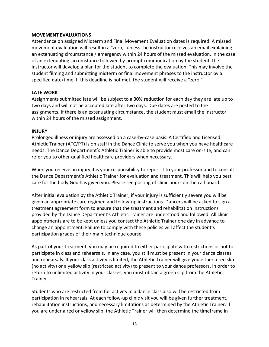#### **MOVEMENT EVALUATIONS**

Attendance on assigned Midterm and Final Movement Evaluation dates is required. A missed movement evaluation will result in a "zero," unless the instructor receives an email explaining an extenuating circumstance / emergency within 24 hours of the missed evaluation. In the case of an extenuating circumstance followed by prompt communication by the student, the instructor will develop a plan for the student to complete the evaluation. This may involve the student filming and submitting midterm or final movement phrases to the instructor by a specified date/time. If this deadline is not met, the student will receive a "zero."

#### **LATE WORK**

Assignments submitted late will be subject to a 30% reduction for each day they are late up to two days and will not be accepted late after two days. Due dates are posted to the assignments. If there is an extenuating circumstance, the student must email the instructor within 24 hours of the missed assignment.

#### **INJURY**

Prolonged illness or injury are assessed on a case-by-case basis. A Certified and Licensed Athletic Trainer (ATC/PT) is on staff in the Dance Clinic to serve you when you have healthcare needs. The Dance Department's Athletic Trainer is able to provide most care on-site, and can refer you to other qualified healthcare providers when necessary.

When you receive an injury it is your responsibility to report it to your professor and to consult the Dance Department's Athletic Trainer for evaluation and treatment. This will help you best care for the body God has given you. Please see posting of clinic hours on the call board.

After initial evaluation by the Athletic Trainer, if your injury is sufficiently severe you will be given an appropriate care regimen and follow-up instructions. Dancers will be asked to sign a treatment agreement form to ensure that the treatment and rehabilitation instructions provided by the Dance Department's Athletic Trainer are understood and followed. All clinic appointments are to be kept unless you contact the Athletic Trainer one day in advance to change an appointment. Failure to comply with these policies will affect the student's participation grades of their main technique course.

As part of your treatment, you may be required to either participate with restrictions or not to participate in class and rehearsals. In any case, you still must be present in your dance classes and rehearsals. If your class activity is limited, the Athletic Trainer will give you either a red slip (no activity) or a yellow slip (restricted activity) to present to your dance professors. In order to return to unlimited activity in your classes, you must obtain a green slip from the Athletic Trainer.

Students who are restricted from full activity in a dance class also will be restricted from participation in rehearsals. At each follow-up clinic visit you will be given further treatment, rehabilitation instructions, and necessary limitations as determined by the Athletic Trainer. If you are under a red or yellow slip, the Athletic Trainer will then determine the timeframe in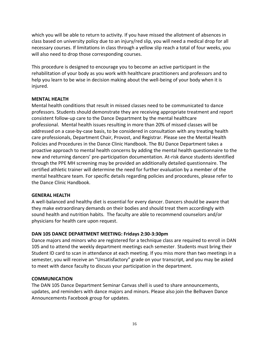which you will be able to return to activity. If you have missed the allotment of absences in class based on university policy due to an injury/red slip, you will need a medical drop for all necessary courses. If limitations in class through a yellow slip reach a total of four weeks, you will also need to drop those corresponding courses.

This procedure is designed to encourage you to become an active participant in the rehabilitation of your body as you work with healthcare practitioners and professors and to help you learn to be wise in decision making about the well-being of your body when it is injured.

## **MENTAL HEALTH**

Mental health conditions that result in missed classes need to be communicated to dance professors. Students should demonstrate they are receiving appropriate treatment and report consistent follow-up care to the Dance Department by the mental healthcare professional. Mental health issues resulting in more than 20% of missed classes will be addressed on a case-by-case basis, to be considered in consultation with any treating health care professionals, Department Chair, Provost, and Registrar. Please see the Mental Health Policies and Procedures in the Dance Clinic Handbook. The BU Dance Department takes a proactive approach to mental health concerns by adding the mental health questionnaire to the new and returning dancers' pre-participation documentation. At-risk dance students identified through the PPE MH screening may be provided an additionally detailed questionnaire. The certified athletic trainer will determine the need for further evaluation by a member of the mental healthcare team. For specific details regarding policies and procedures, please refer to the Dance Clinic Handbook.

# **GENERAL HEALTH**

A well-balanced and healthy diet is essential for every dancer. Dancers should be aware that they make extraordinary demands on their bodies and should treat them accordingly with sound health and nutrition habits. The faculty are able to recommend counselors and/or physicians for health care upon request.

# **DAN 105 DANCE DEPARTMENT MEETING: Fridays 2:30-3:30pm**

Dance majors and minors who are registered for a technique class are required to enroll in DAN 105 and to attend the weekly department meetings each semester. Students must bring their Student ID card to scan in attendance at each meeting. If you miss more than two meetings in a semester, you will receive an "Unsatisfactory" grade on your transcript, and you may be asked to meet with dance faculty to discuss your participation in the department.

# **COMMUNICATION**

The DAN 105 Dance Department Seminar Canvas shell is used to share announcements, updates, and reminders with dance majors and minors. Please also join the Belhaven Dance Announcements Facebook group for updates.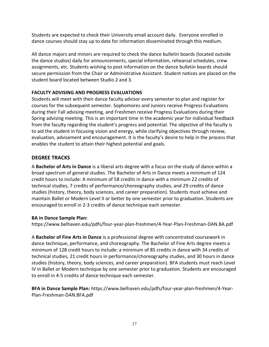Students are expected to check their University email account daily. Everyone enrolled in dance courses should stay up to date for information disseminated through this medium.

All dance majors and minors are required to check the dance bulletin boards (located outside the dance studios) daily for announcements, special information, rehearsal schedules, crew assignments, etc. Students wishing to post information on the dance bulletin boards should secure permission from the Chair or Administrative Assistant. Student notices are placed on the student board located between Studio 2 and 3.

# **FACULTY ADVISING AND PROGRESS EVALUATIONS**

Students will meet with their dance faculty advisor every semester to plan and register for courses for the subsequent semester. Sophomores and Juniors receive Progress Evaluations during their Fall advising meeting, and Freshmen receive Progress Evaluations during their Spring advising meeting. This is an important time in the academic year for individual feedback from the faculty regarding the student's progress and potential. The objective of the faculty is to aid the student in focusing vision and energy, while clarifying objectives through review, evaluation, advisement and encouragement. It is the faculty's desire to help in the process that enables the student to attain their highest potential and goals.

# **DEGREE TRACKS**

A **Bachelor of Arts in Dance** is a liberal arts degree with a focus on the study of dance within a broad spectrum of general studies. The Bachelor of Arts in Dance meets a minimum of 124 credit hours to include: A minimum of 58 credits in dance with a minimum 22 credits of technical studies, 7 credits of performance/choreography studies, and 29 credits of dance studies (history, theory, body sciences, and career preparation). Students must achieve and maintain Ballet or Modern Level II or better by one semester prior to graduation. Students are encouraged to enroll in 2-3 credits of dance technique each semester.

# **BA in Dance Sample Plan:**

https://www.belhaven.edu/pdfs/four-year-plan-freshmen/4-Year-Plan-Freshman-DAN.BA.pdf

A **Bachelor of Fine Arts in Dance** is a professional degree with concentrated coursework in dance technique, performance, and choreography. The Bachelor of Fine Arts degree meets a minimum of 128 credit hours to include: a minimum of 85 credits in dance with 34 credits of technical studies, 21 credit hours in performance/choreography studies, and 30 hours in dance studies (history, theory, body sciences, and career preparation). BFA students must reach Level IV in Ballet or Modern technique by one semester prior to graduation. Students are encouraged to enroll in 4-5 credits of dance technique each semester.

**BFA in Dance Sample Plan:** https://www.belhaven.edu/pdfs/four-year-plan-freshmen/4-Year-Plan-Freshman-DAN.BFA.pdf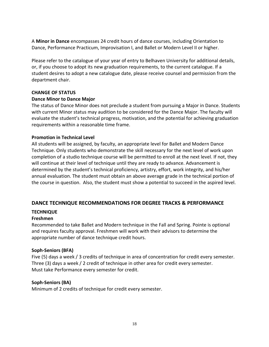A **Minor in Dance** encompasses 24 credit hours of dance courses, including Orientation to Dance, Performance Practicum, Improvisation I, and Ballet or Modern Level II or higher.

Please refer to the catalogue of your year of entry to Belhaven University for additional details, or, if you choose to adopt its new graduation requirements, to the current catalogue. If a student desires to adopt a new catalogue date, please receive counsel and permission from the department chair.

## **CHANGE OF STATUS**

## **Dance Minor to Dance Major**

The status of Dance Minor does not preclude a student from pursuing a Major in Dance. Students with current Minor status may audition to be considered for the Dance Major. The faculty will evaluate the student's technical progress, motivation, and the potential for achieving graduation requirements within a reasonable time frame.

## **Promotion in Technical Level**

All students will be assigned, by faculty, an appropriate level for Ballet and Modern Dance Technique. Only students who demonstrate the skill necessary for the next level of work upon completion of a studio technique course will be permitted to enroll at the next level. If not, they will continue at their level of technique until they are ready to advance. Advancement is determined by the student's technical proficiency, artistry, effort, work integrity, and his/her annual evaluation. The student must obtain an above average grade in the technical portion of the course in question. Also, the student must show a potential to succeed in the aspired level.

# **DANCE TECHNIQUE RECOMMENDATIONS FOR DEGREE TRACKS & PERFORMANCE**

# **TECHNIQUE**

# **Freshmen**

Recommended to take Ballet and Modern technique in the Fall and Spring. Pointe is optional and requires faculty approval. Freshmen will work with their advisors to determine the appropriate number of dance technique credit hours.

#### **Soph-Seniors (BFA)**

Five (5) days a week / 3 credits of technique in area of concentration for credit every semester. Three (3) days a week / 2 credit of technique in other area for credit every semester. Must take Performance every semester for credit.

#### **Soph-Seniors (BA)**

Minimum of 2 credits of technique for credit every semester.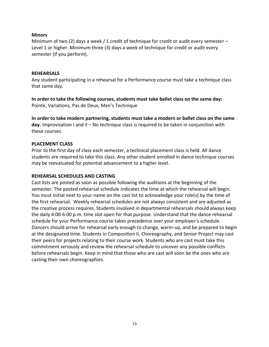#### **Minors**

Minimum of two (2) days a week / 1 credit of technique for credit or audit every semester  $-$ Level 1 or higher. Minimum three (3) days a week of technique for credit or audit every semester (if you perform).

#### **REHEARSALS**

Any student participating in a rehearsal for a Performance course must take a technique class that same day.

**In order to take the following courses, students must take ballet class on the same day:**  Pointe, Variations, Pas de Deux, Men's Technique

**In order to take modern partnering, students must take a modern or ballet class on the same day.** Improvisation I and II – No technique class is required to be taken in conjunction with these courses.

#### **PLACEMENT CLASS**

Prior to the first day of class each semester, a technical placement class is held. All dance students are required to take this class. Any other student enrolled in dance technique courses may be reevaluated for potential advancement to a higher level.

#### **REHEARSAL SCHEDULES AND CASTING**

Cast lists are posted as soon as possible following the auditions at the beginning of the semester. The posted rehearsal schedule indicates the time at which the rehearsal will begin. You must initial next to your name on the cast list to acknowledge your role(s) by the time of the first rehearsal. Weekly rehearsal schedules are not always consistent and are adjusted as the creative process requires. Students involved in departmental rehearsals should always keep the daily 4:00-6:00 p.m. time slot open for that purpose. Understand that the dance rehearsal schedule for your Performance course takes precedence over your employer's schedule. Dancers should arrive for rehearsal early enough to change, warm-up, and be prepared to begin at the designated time. Students in Composition II, Choreography, and Senior Project may cast their peers for projects relating to their course work. Students who are cast must take this commitment seriously and review the rehearsal schedule to uncover any possible conflicts before rehearsals begin. Keep in mind that those who are cast will soon be the ones who are casting their own choreographies*.*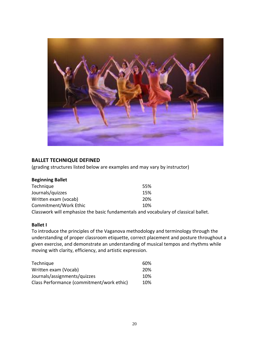

# **BALLET TECHNIQUE DEFINED**

(grading structures listed below are examples and may vary by instructor)

| <b>Beginning Ballet</b> |                                                                                     |
|-------------------------|-------------------------------------------------------------------------------------|
| Technique               | 55%                                                                                 |
| Journals/quizzes        | 15%                                                                                 |
| Written exam (vocab)    | 20%                                                                                 |
| Commitment/Work Ethic   | <b>10%</b>                                                                          |
|                         | Classwork will emphasize the basic fundamentals and vocabulary of classical ballet. |

# **Ballet I**

To introduce the principles of the Vaganova methodology and terminology through the understanding of proper classroom etiquette, correct placement and posture throughout a given exercise, and demonstrate an understanding of musical tempos and rhythms while moving with clarity, efficiency, and artistic expression.

| Technique                                 | 60%        |
|-------------------------------------------|------------|
| Written exam (Vocab)                      | <b>20%</b> |
| Journals/assignments/quizzes              | 10%        |
| Class Performance (commitment/work ethic) | <b>10%</b> |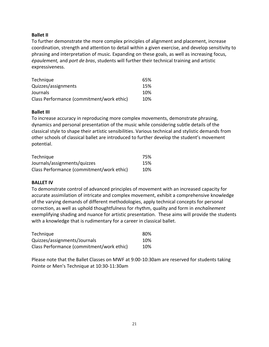## **Ballet II**

To further demonstrate the more complex principles of alignment and placement, increase coordination, strength and attention to detail within a given exercise, and develop sensitivity to phrasing and interpretation of music. Expanding on these goals, as well as increasing focus, *épaulement,* and *port de bras*, students will further their technical training and artistic expressiveness.

| Technique                                 | 65% |
|-------------------------------------------|-----|
| Quizzes/assignments                       | 15% |
| Journals                                  | 10% |
| Class Performance (commitment/work ethic) | 10% |

#### **Ballet III**

To increase accuracy in reproducing more complex movements, demonstrate phrasing, dynamics and personal presentation of the music while considering subtle details of the classical style to shape their artistic sensibilities. Various technical and stylistic demands from other schools of classical ballet are introduced to further develop the student's movement potential.

| Technique                                 | 75% |
|-------------------------------------------|-----|
| Journals/assignments/quizzes              | 15% |
| Class Performance (commitment/work ethic) | 10% |

#### **BALLET IV**

To demonstrate control of advanced principles of movement with an increased capacity for accurate assimilation of intricate and complex movement, exhibit a comprehensive knowledge of the varying demands of different methodologies, apply technical concepts for personal correction, as well as uphold thoughtfulness for rhythm, quality and form in *enchaînement*  exemplifying shading and nuance for artistic presentation. These aims will provide the students with a knowledge that is rudimentary for a career in classical ballet.

| Technique                                 | 80% |
|-------------------------------------------|-----|
| Quizzes/assignments/Journals              | 10% |
| Class Performance (commitment/work ethic) | 10% |

Please note that the Ballet Classes on MWF at 9:00-10:30am are reserved for students taking Pointe or Men's Technique at 10:30-11:30am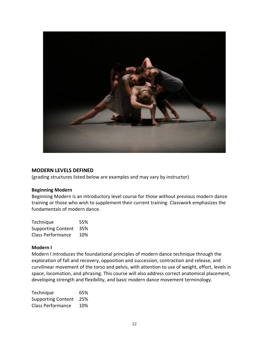

#### **MODERN LEVELS DEFINED**

(grading structures listed below are examples and may vary by instructor)

#### **Beginning Modern**

Beginning Modern is an introductory level course for those without previous modern dance training or those who wish to supplement their current training. Classwork emphasizes the fundamentals of modern dance.

| Technique                 | 55% |
|---------------------------|-----|
| <b>Supporting Content</b> | 35% |
| <b>Class Performance</b>  | 10% |

#### **Modern I**

Modern I introduces the foundational principles of modern dance technique through the exploration of fall and recovery, opposition and succession, contraction and release, and curvilinear movement of the torso and pelvis, with attention to use of weight, effort, levels in space, locomotion, and phrasing. This course will also address correct anatomical placement, developing strength and flexibility, and basic modern dance movement terminology.

| Technique                 | 65% |
|---------------------------|-----|
| <b>Supporting Content</b> | 25% |
| Class Performance         | 10% |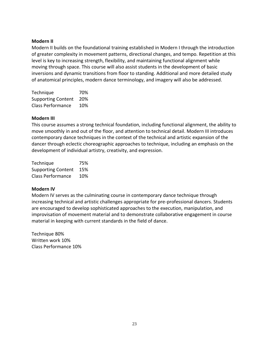#### **Modern II**

Modern II builds on the foundational training established in Modern I through the introduction of greater complexity in movement patterns, directional changes, and tempo. Repetition at this level is key to increasing strength, flexibility, and maintaining functional alignment while moving through space. This course will also assist students in the development of basic inversions and dynamic transitions from floor to standing. Additional and more detailed study of anatomical principles, modern dance terminology, and imagery will also be addressed.

Technique 70% Supporting Content 20% Class Performance 10%

#### **Modern III**

This course assumes a strong technical foundation, including functional alignment, the ability to move smoothly in and out of the floor, and attention to technical detail. Modern III introduces contemporary dance techniques in the context of the technical and artistic expansion of the dancer through eclectic choreographic approaches to technique, including an emphasis on the development of individual artistry, creativity, and expression.

| Technique                 | 75% |
|---------------------------|-----|
| <b>Supporting Content</b> | 15% |
| <b>Class Performance</b>  | 10% |

#### **Modern IV**

Modern IV serves as the culminating course in contemporary dance technique through increasing technical and artistic challenges appropriate for pre-professional dancers. Students are encouraged to develop sophisticated approaches to the execution, manipulation, and improvisation of movement material and to demonstrate collaborative engagement in course material in keeping with current standards in the field of dance.

Technique 80% Written work 10% Class Performance 10%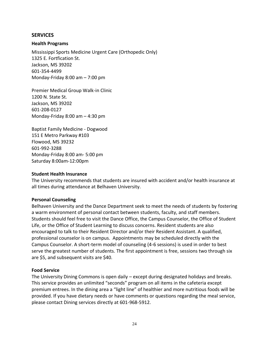## **SERVICES**

#### **Health Programs**

Mississippi Sports Medicine Urgent Care (Orthopedic Only) 1325 E. Fortfication St. Jackson, MS 39202 601-354-4499 Monday-Friday 8:00 am – 7:00 pm

Premier Medical Group Walk-in Clinic 1200 N. State St. Jackson, MS 39202 601-208-0127 Monday-Friday 8:00 am – 4:30 pm

Baptist Family Medicine - Dogwood 151 E Metro Parkway #103 Flowood, MS 39232 601-992-3288 Monday-Friday 8:00 am- 5:00 pm Saturday 8:00am-12:00pm

#### **Student Health Insurance**

The University recommends that students are insured with accident and/or health insurance at all times during attendance at Belhaven University.

#### **Personal Counseling**

Belhaven University and the Dance Department seek to meet the needs of students by fostering a warm environment of personal contact between students, faculty, and staff members. Students should feel free to visit the Dance Office, the Campus Counselor, the Office of Student Life, or the Office of Student Learning to discuss concerns. Resident students are also encouraged to talk to their Resident Director and/or their Resident Assistant. A qualified, professional counselor is on campus. Appointments may be scheduled directly with the Campus Counselor. A short-term model of counseling (4-6 sessions) is used in order to best serve the greatest number of students. The first appointment is free, sessions two through six are \$5, and subsequent visits are \$40.

#### **Food Service**

The University Dining Commons is open daily – except during designated holidays and breaks. This service provides an unlimited "seconds" program on all items in the cafeteria except premium entrees. In the dining area a "light line" of healthier and more nutritious foods will be provided. If you have dietary needs or have comments or questions regarding the meal service, please contact Dining services directly at 601-968-5912.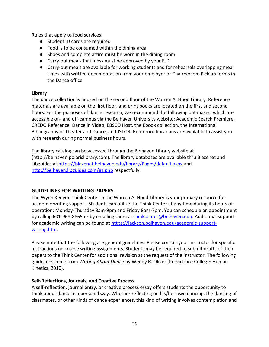Rules that apply to food services:

- Student ID cards are required
- Food is to be consumed within the dining area.
- Shoes and complete attire must be worn in the dining room.
- Carry-out meals for illness must be approved by your R.D.
- Carry-out meals are available for working students and for rehearsals overlapping meal times with written documentation from your employer or Chairperson. Pick up forms in the Dance office.

# **Library**

The dance collection is housed on the second floor of the Warren A. Hood Library. Reference materials are available on the first floor, and print books are located on the first and second floors. For the purposes of dance research, we recommend the following databases, which are accessible on- and off-campus via the Belhaven University website: Academic Search Premiere, CREDO Reference, Dance in Video, EBSCO Host, the Ebook collection, the International Bibliography of Theater and Dance, and JSTOR. Reference librarians are available to assist you with research during normal business hours.

The library catalog can be accessed through the Belhaven Library website at (http://belhaven.polarislibrary.com). The library databases are available thru Blazenet and Libguides at<https://blazenet.belhaven.edu/library/Pages/default.aspx> and <http://belhaven.libguides.com/az.php> respectfully.

# **GUIDELINES FOR WRITING PAPERS**

The Wynn Kenyon Think Center in the Warren A. Hood Library is your primary resource for academic writing support. Students can utilize the Think Center at any time during its hours of operation: Monday-Thursday 8am-9pm and Friday 8am-7pm. You can schedule an appointment by calling 601-968-8865 or by emailing them at [thinkcenter@belhaven.edu.](mailto:thinkcenter@belhaven.edu) Additional support for academic writing can be found at [https://jackson.belhaven.edu/academic-support](https://jackson.belhaven.edu/academic-support-writing.htm)[writing.htm.](https://jackson.belhaven.edu/academic-support-writing.htm)

Please note that the following are general guidelines. Please consult your instructor for specific instructions on course writing assignments. Students may be required to submit drafts of their papers to the Think Center for additional revision at the request of the instructor. The following guidelines come from *Writing About Dance* by Wendy R. Oliver (Providence College: Human Kinetics, 2010).

# **Self-Reflections, Journals, and Creative Process**

A self-reflection, journal entry, or creative process essay offers students the opportunity to think about dance in a personal way. Whether reflecting on his/her own dancing, the dancing of classmates, or other kinds of dance experiences, this kind of writing involves contemplation and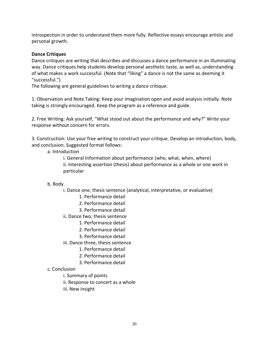introspection in order to understand them more fully. Reflective essays encourage artistic and personal growth.

# **Dance Critiques**

Dance critiques are writing that describes and discusses a dance performance in an illuminating way. Dance critiques help students develop personal aesthetic taste, as well as, understanding of what makes a work successful. (Note that "liking" a dance is not the same as deeming it "successful.")

The following are general guidelines to writing a dance critique:

1. Observation and Note Taking: Keep your imagination open and avoid analysis initially. Note taking is strongly encouraged. Keep the program as a reference and guide.

2. Free Writing: Ask yourself, "What stood out about the performance and why?" Write your response without concern for errors.

3. Construction: Use your free writing to construct your critique. Develop an introduction, body, and conclusion. Suggested format follows:

- a. Introduction
	- i. General Information about performance (who, what, when, where)

ii. Interesting assertion (thesis) about performance as a whole or one work in particular

# b. Body

- i. Dance one, thesis sentence (analytical, interpretative, or evaluative)
	- 1. Performance detail
	- 2. Performance detail
	- 3. Performance detail
- ii. Dance two, thesis sentence
	- 1. Performance detail
	- 2. Performance detail
	- 3. Performance detail
- iii. Dance three, thesis sentence
	- 1. Performance detail
	- 2. Performance detail
	- 3. Performance detail
- c. Conclusion
	- i. Summary of points
	- ii. Response to concert as a whole
	- iii. New insight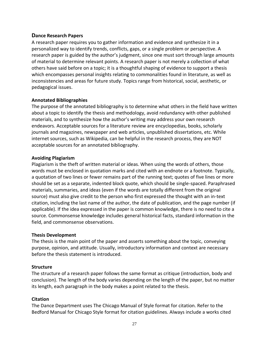## **Dance Research Papers**

A research paper requires you to gather information and evidence and synthesize it in a personalized way to identify trends, conflicts, gaps, or a single problem or perspective. A research paper is guided by the author's judgment, since one must sort through large amounts of material to determine relevant points. A research paper is not merely a collection of what others have said before on a topic; it is a thoughtful shaping of evidence to support a thesis which encompasses personal insights relating to commonalities found in literature, as well as inconsistencies and areas for future study. Topics range from historical, social, aesthetic, or pedagogical issues.

#### **Annotated Bibliographies**

The purpose of the annotated bibliography is to determine what others in the field have written about a topic to identify the thesis and methodology, avoid redundancy with other published materials, and to synthesize how the author's writing may address your own research endeavors. Acceptable sources for a literature review are encyclopedias, books, scholarly journals and magazines, newspaper and web articles, unpublished dissertations, etc. While internet sources, such as Wikipedia, can be helpful in the research process, they are NOT acceptable sources for an annotated bibliography.

#### **Avoiding Plagiarism**

Plagiarism is the theft of written material or ideas. When using the words of others, those words must be enclosed in quotation marks and cited with an endnote or a footnote. Typically, a quotation of two lines or fewer remains part of the running text; quotes of five lines or more should be set as a separate, indented block quote, which should be single-spaced. Paraphrased materials, summaries, and ideas (even if the words are totally different from the original source) must also give credit to the person who first expressed the thought with an in-text citation, including the last name of the author, the date of publication, and the page number (if applicable). If the idea expressed in the paper is common knowledge, there is no need to cite a source. Commonsense knowledge includes general historical facts, standard information in the field, and commonsense observations.

#### **Thesis Development**

The thesis is the main point of the paper and asserts something about the topic, conveying purpose, opinion, and attitude. Usually, introductory information and context are necessary before the thesis statement is introduced.

#### **Structure**

The structure of a research paper follows the same format as critique (introduction, body and conclusion). The length of the body varies depending on the length of the paper, but no matter its length, each paragraph in the body makes a point related to the thesis.

#### **Citation**

The Dance Department uses The Chicago Manual of Style format for citation. Refer to the Bedford Manual for Chicago Style format for citation guidelines. Always include a works cited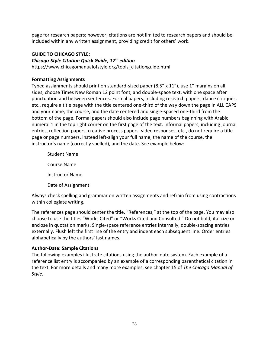page for research papers; however, citations are not limited to research papers and should be included within any written assignment, providing credit for others' work.

# **GUIDE TO CHICAGO STYLE:**

# *Chicago-Style Citation Quick Guide, 17th edition*

https://www.chicagomanualofstyle.org/tools\_citationguide.html

# **Formatting Assignments**

Typed assignments should print on standard-sized paper (8.5" x 11"), use 1" margins on all sides, choose Times New Roman 12 point font, and double-space text, with one space after punctuation and between sentences. Formal papers, including research papers, dance critiques, etc., require a title page with the title centered one-third of the way down the page in ALL CAPS and your name, the course, and the date centered and single-spaced one-third from the bottom of the page. Formal papers should also include page numbers beginning with Arabic numeral 1 in the top right corner on the first page of the text. Informal papers, including journal entries, reflection papers, creative process papers, video responses, etc., do not require a title page or page numbers, instead left-align your full name, the name of the course, the instructor's name (correctly spelled), and the date. See example below:

Student Name Course Name Instructor Name Date of Assignment

Always check spelling and grammar on written assignments and refrain from using contractions within collegiate writing.

The references page should center the title, "References," at the top of the page. You may also choose to use the titles "Works Cited" or "Works Cited and Consulted." Do not bold, italicize or enclose in quotation marks. Single-space reference entries internally, double-spacing entries externally. Flush left the first line of the entry and indent each subsequent line. Order entries alphabetically by the authors' last names.

# **Author-Date: Sample Citations**

The following examples illustrate citations using the author-date system. Each example of a reference list entry is accompanied by an example of a corresponding parenthetical citation in the text. For more details and many more examples, see [chapter 15](http://www.chicagomanualofstyle.org/16/ch15/ch15_toc.html) of *The Chicago Manual of Style*.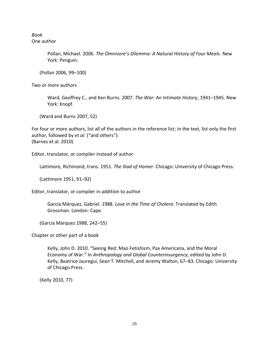*Book* One author

> Pollan, Michael. 2006. *The Omnivore's Dilemma: A Natural History of Four Meals*. New York: Penguin.

(Pollan 2006, 99–100)

Two or more authors

Ward, Geoffrey C., and Ken Burns. 2007. *The War: An Intimate History*, 1941–1945. New York: Knopf.

(Ward and Burns 2007, 52)

For four or more authors, list all of the authors in the reference list; in the text, list only the first author, followed by *et al*. ("and others"): (Barnes et al. 2010)

Editor, translator, or compiler instead of author

Lattimore, Richmond, trans. 1951. *The Iliad of Homer*. Chicago: University of Chicago Press.

(Lattimore 1951, 91–92)

Editor, translator, or compiler in addition to author

García Márquez, Gabriel. 1988. *Love in the Time of Cholera*. Translated by Edith Grossman. London: Cape.

(García Márquez 1988, 242–55)

Chapter or other part of a book

Kelly, John D. 2010. "Seeing Red: Mao Fetishism, Pax Americana, and the Moral Economy of War." In *Anthropology and Global Counterinsurgency*, edited by John D. Kelly, Beatrice Jauregui, Sean T. Mitchell, and Jeremy Walton, 67–83. Chicago: University of Chicago Press.

(Kelly 2010, 77)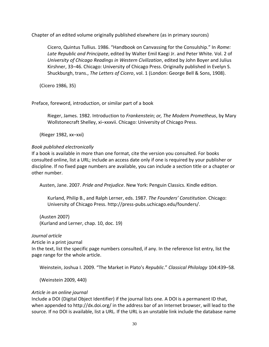Chapter of an edited volume originally published elsewhere (as in primary sources)

Cicero, Quintus Tullius. 1986. "Handbook on Canvassing for the Consulship." In *Rome: Late Republic and Principate*, edited by Walter Emil Kaegi Jr. and Peter White. Vol. 2 of *University of Chicago Readings in Western Civilization*, edited by John Boyer and Julius Kirshner, 33–46. Chicago: University of Chicago Press. Originally published in Evelyn S. Shuckburgh, trans., *The Letters of Cicero*, vol. 1 (London: George Bell & Sons, 1908).

(Cicero 1986, 35)

Preface, foreword, introduction, or similar part of a book

Rieger, James. 1982. Introduction to *Frankenstein; or, The Modern Prometheus*, by Mary Wollstonecraft Shelley, xi–xxxvii. Chicago: University of Chicago Press.

(Rieger 1982, xx–xxi)

# *Book published electronically*

If a book is available in more than one format, cite the version you consulted. For books consulted online, list a URL; include an access date only if one is required by your publisher or discipline. If no fixed page numbers are available, you can include a section title or a chapter or other number.

Austen, Jane. 2007. *Pride and Prejudice*. New York: Penguin Classics. Kindle edition.

Kurland, Philip B., and Ralph Lerner, eds. 1987. *The Founders' Constitution*. Chicago: University of Chicago Press. http://press-pubs.uchicago.edu/founders/.

(Austen 2007) (Kurland and Lerner, chap. 10, doc. 19)

# *Journal article*

Article in a print journal

In the text, list the specific page numbers consulted, if any. In the reference list entry, list the page range for the whole article.

Weinstein, Joshua I. 2009. "The Market in Plato's *Republic*." *Classical Philology* 104:439–58.

(Weinstein 2009, 440)

# *Article in an online journal*

Include a DOI (Digital Object Identifier) if the journal lists one. A DOI is a permanent ID that, when appended to http://dx.doi.org/ in the address bar of an Internet browser, will lead to the source. If no DOI is available, list a URL. If the URL is an unstable link include the database name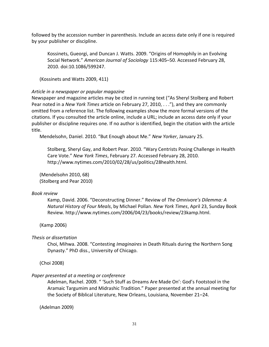followed by the accession number in parenthesis. Include an access date only if one is required by your publisher or discipline.

Kossinets, Gueorgi, and Duncan J. Watts. 2009. "Origins of Homophily in an Evolving Social Network." *American Journal of Sociology* 115:405–50. Accessed February 28, 2010. doi:10.1086/599247.

(Kossinets and Watts 2009, 411)

## *Article in a newspaper or popular magazine*

Newspaper and magazine articles may be cited in running text ("As Sheryl Stolberg and Robert Pear noted in a *New York Times* article on February 27, 2010, . . ."), and they are commonly omitted from a reference list. The following examples show the more formal versions of the citations. If you consulted the article online, include a URL; include an access date only if your publisher or discipline requires one. If no author is identified, begin the citation with the article title.

Mendelsohn, Daniel. 2010. "But Enough about Me." *New Yorker*, January 25.

Stolberg, Sheryl Gay, and Robert Pear. 2010. "Wary Centrists Posing Challenge in Health Care Vote." *New York Times*, February 27. Accessed February 28, 2010. http://www.nytimes.com/2010/02/28/us/politics/28health.html.

(Mendelsohn 2010, 68) (Stolberg and Pear 2010)

#### *Book review*

Kamp, David. 2006. "Deconstructing Dinner." Review of *The Omnivore's Dilemma: A Natural History of Four Meals*, by Michael Pollan. *New York Times*, April 23, Sunday Book Review. http://www.nytimes.com/2006/04/23/books/review/23kamp.html.

(Kamp 2006)

*Thesis or dissertation*

Choi, Mihwa. 2008. "Contesting *Imaginaires* in Death Rituals during the Northern Song Dynasty." PhD diss., University of Chicago.

(Choi 2008)

#### *Paper presented at a meeting or conference*

Adelman, Rachel. 2009. " 'Such Stuff as Dreams Are Made On': God's Footstool in the Aramaic Targumim and Midrashic Tradition." Paper presented at the annual meeting for the Society of Biblical Literature, New Orleans, Louisiana, November 21–24.

(Adelman 2009)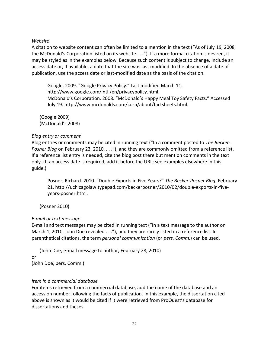#### *Website*

A citation to website content can often be limited to a mention in the text ("As of July 19, 2008, the McDonald's Corporation listed on its website . . ."). If a more formal citation is desired, it may be styled as in the examples below. Because such content is subject to change, include an access date or, if available, a date that the site was last modified. In the absence of a date of publication, use the access date or last-modified date as the basis of the citation.

Google. 2009. "Google Privacy Policy." Last modified March 11. http://www.google.com/intl /en/privacypolicy.html. McDonald's Corporation. 2008. "McDonald's Happy Meal Toy Safety Facts." Accessed July 19. http://www.mcdonalds.com/corp/about/factsheets.html.

(Google 2009) (McDonald's 2008)

## *Blog entry or comment*

Blog entries or comments may be cited in running text ("In a comment posted to *The Becker-Posner Blog* on February 23, 2010, . . ."), and they are commonly omitted from a reference list. If a reference list entry is needed, cite the blog post there but mention comments in the text only. (If an access date is required, add it before the URL; see examples elsewhere in this guide.)

Posner, Richard. 2010. "Double Exports in Five Years?" *The Becker-Posner Blog*, February 21. http://uchicagolaw.typepad.com/beckerposner/2010/02/double-exports-in-fiveyears-posner.html.

(Posner 2010)

# *E-mail or text message*

E-mail and text messages may be cited in running text ("In a text message to the author on March 1, 2010, John Doe revealed . . ."), and they are rarely listed in a reference list. In parenthetical citations, the term *personal communication* (or *pers. Comm.*) can be used.

(John Doe, e-mail message to author, February 28, 2010) or (John Doe, pers. Comm.)

# *Item in a commercial database*

For items retrieved from a commercial database, add the name of the database and an accession number following the facts of publication. In this example, the dissertation cited above is shown as it would be cited if it were retrieved from ProQuest's database for dissertations and theses.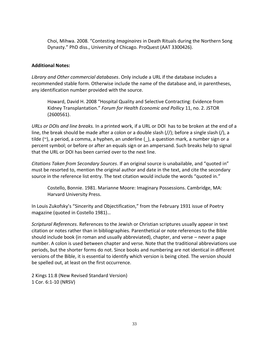Choi, Mihwa. 2008. "Contesting *Imaginaires* in Death Rituals during the Northern Song Dynasty." PhD diss., University of Chicago. ProQuest (AAT 3300426).

# **Additional Notes:**

*Library and Other commercial databases*. Only include a URL if the database includes a recommended stable form. Otherwise include the name of the database and, in parentheses, any identification number provided with the source.

Howard, David H. 2008 "Hospital Quality and Selective Contracting: Evidence from Kidney Transplantation." *Forum for Health Economic and Pollicy* 11, no. 2. JSTOR (2600561).

*URLs or DOIs and line breaks.* In a printed work, if a URL or DOI has to be broken at the end of a line, the break should be made after a colon or a double slash (//); before a single slash (/), a tilde  $(\sim)$ , a period, a comma, a hyphen, an underline (), a question mark, a number sign or a percent symbol; or before or after an equals sign or an ampersand. Such breaks help to signal that the URL or DOI has been carried over to the next line.

*Citations Taken from Secondary Sources*. If an original source is unabailable, and "quoted in" must be resorted to, mention the original author and date in the text, and cite the secondary source in the reference list entry. The text citation would include the words "quoted in."

Costello, Bonnie. 1981. Marianne Moore: Imaginary Possessions. Cambridge, MA: Harvard University Press.

In Louis Zukofsky's "Sincerity and Objectification," from the February 1931 issue of Poetry magazine (quoted in Costello 1981)…

*Scriptural References*. References to the Jewish or Christian scriptures usually appear in text citation or notes rather than in bibliographies. Parenthetical or note references to the Bible should include book (in roman and usually abbreviated), chapter, and verse – never a page number. A colon is used between chapter and verse. Note that the traditional abbreviations use periods, but the shorter forms do not. Since books and numbering are not identical in different versions of the Bible, it is essential to identify which version is being cited. The version should be spelled out, at least on the first occurrence.

2 Kings 11:8 (New Revised Standard Version) 1 Cor. 6:1-10 (NRSV)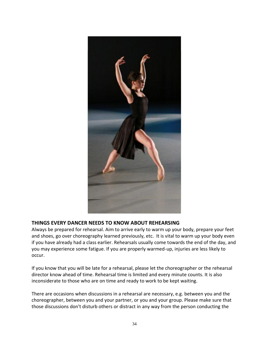

# **THINGS EVERY DANCER NEEDS TO KNOW ABOUT REHEARSING**

Always be prepared for rehearsal. Aim to arrive early to warm up your body, prepare your feet and shoes, go over choreography learned previously, etc. It is vital to warm up your body even if you have already had a class earlier. Rehearsals usually come towards the end of the day, and you may experience some fatigue. If you are properly warmed-up, injuries are less likely to occur.

If you know that you will be late for a rehearsal, please let the choreographer or the rehearsal director know ahead of time. Rehearsal time is limited and every minute counts. It is also inconsiderate to those who are on time and ready to work to be kept waiting.

There are occasions when discussions in a rehearsal are necessary, e.g. between you and the choreographer, between you and your partner, or you and your group. Please make sure that those discussions don't disturb others or distract in any way from the person conducting the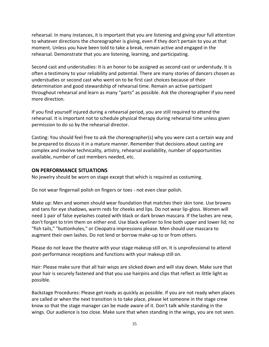rehearsal. In many instances, it is important that you are listening and giving your full attention to whatever directions the choreographer is giving, even if they don't pertain to you at that moment. Unless you have been told to take a break, remain active and engaged in the rehearsal. Demonstrate that you are listening, learning, and participating.

Second cast and understudies: It is an honor to be assigned as second cast or understudy. It is often a testimony to your reliability and potential. There are many stories of dancers chosen as understudies or second cast who went on to be first cast choices because of their determination and good stewardship of rehearsal time. Remain an active participant throughout rehearsal and learn as many "parts" as possible. Ask the choreographer if you need more direction.

If you find yourself injured during a rehearsal period, you are still required to attend the rehearsal. It is important not to schedule physical therapy during rehearsal time unless given permission to do so by the rehearsal director.

Casting: You should feel free to ask the choreographer(s) why you were cast a certain way and be prepared to discuss it in a mature manner. Remember that decisions about casting are complex and involve technicality, artistry, rehearsal availability, number of opportunities available, number of cast members needed, etc.

## **ON PERFORMANCE SITUATIONS**

No jewelry should be worn on stage except that which is required as costuming.

Do not wear fingernail polish on fingers or toes - not even clear polish.

Make up: Men and women should wear foundation that matches their skin tone. Use browns and tans for eye shadows, warm reds for cheeks and lips. Do not wear lip-gloss. Women will need 1 pair of false eyelashes coated with black or dark brown mascara. If the lashes are new, don't forget to trim them on either end. Use black eyeliner to line both upper and lower lid; no "fish tails," "buttonholes," or Cleopatra impressions please. Men should use mascara to augment their own lashes. Do not lend or borrow make-up to or from others.

Please do not leave the theatre with your stage makeup still on. It is unprofessional to attend post-performance receptions and functions with your makeup still on.

Hair: Please make sure that all hair wisps are slicked down and will stay down. Make sure that your hair is securely fastened and that you use hairpins and clips that reflect as little light as possible.

Backstage Procedures: Please get ready as quickly as possible. If you are not ready when places are called or when the next transition is to take place, please let someone in the stage crew know so that the stage manager can be made aware of it. Don't talk while standing in the wings. Our audience is too close. Make sure that when standing in the wings, you are not seen.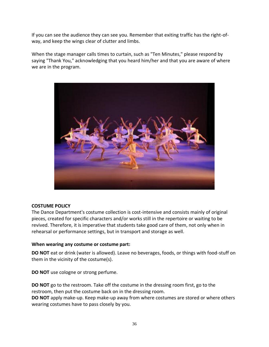If you can see the audience they can see you. Remember that exiting traffic has the right-ofway, and keep the wings clear of clutter and limbs.

When the stage manager calls times to curtain, such as "Ten Minutes," please respond by saying "Thank You," acknowledging that you heard him/her and that you are aware of where we are in the program.



# **COSTUME POLICY**

The Dance Department's costume collection is cost-intensive and consists mainly of original pieces, created for specific characters and/or works still in the repertoire or waiting to be revived. Therefore, it is imperative that students take good care of them, not only when in rehearsal or performance settings, but in transport and storage as well.

#### **When wearing any costume or costume part:**

**DO NOT** eat or drink (water is allowed). Leave no beverages, foods, or things with food-stuff on them in the vicinity of the costume(s).

**DO NOT** use cologne or strong perfume.

**DO NOT** go to the restroom. Take off the costume in the dressing room first, go to the restroom, then put the costume back on in the dressing room.

**DO NOT** apply make-up. Keep make-up away from where costumes are stored or where others wearing costumes have to pass closely by you.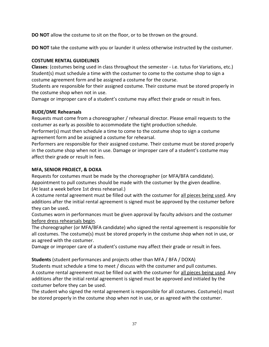**DO NOT** allow the costume to sit on the floor, or to be thrown on the ground.

**DO NOT** take the costume with you or launder it unless otherwise instructed by the costumer.

# **COSTUME RENTAL GUIDELINES**

**Classes**: (costumes being used in class throughout the semester - i.e. tutus for Variations, etc.) Student(s) must schedule a time with the costumer to come to the costume shop to sign a costume agreement form and be assigned a costume for the course.

Students are responsible for their assigned costume. Their costume must be stored properly in the costume shop when not in use.

Damage or improper care of a student's costume may affect their grade or result in fees.

# **BUDE/DME Rehearsals**

Requests must come from a choreographer / rehearsal director. Please email requests to the costumer as early as possible to accommodate the tight production schedule.

Performer(s) must then schedule a time to come to the costume shop to sign a costume agreement form and be assigned a costume for rehearsal.

Performers are responsible for their assigned costume. Their costume must be stored properly in the costume shop when not in use. Damage or improper care of a student's costume may affect their grade or result in fees.

# **MFA, SENIOR PROJECT, & DOXA**

Requests for costumes must be made by the choreographer (or MFA/BFA candidate). Appointment to pull costumes should be made with the costumer by the given deadline. (At least a week before 1st dress rehearsal.)

A costume rental agreement must be filled out with the costumer for all pieces being used. Any additions after the initial rental agreement is signed must be approved by the costumer before they can be used**.**

Costumes worn in performances must be given approval by faculty advisors and the costumer before dress rehearsals begin.

The choreographer (or MFA/BFA candidate) who signed the rental agreement is responsible for all costumes. The costume(s) must be stored properly in the costume shop when not in use, or as agreed with the costumer.

Damage or improper care of a student's costume may affect their grade or result in fees.

**Students** (student performances and projects other than MFA / BFA / DOXA)

Students must schedule a time to meet / discuss with the costumer and pull costumes. A costume rental agreement must be filled out with the costumer for all pieces being used. Any additions after the initial rental agreement is signed must be approved and initialed by the costumer before they can be used.

The student who signed the rental agreement is responsible for all costumes. Costume(s) must be stored properly in the costume shop when not in use, or as agreed with the costumer.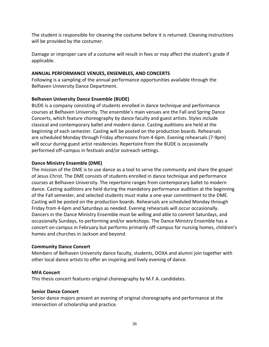The student is responsible for cleaning the costume before it is returned. Cleaning instructions will be provided by the costumer.

Damage or improper care of a costume will result in fees or may affect the student's grade if applicable.

# **ANNUAL PERFORMANCE VENUES, ENSEMBLES, AND CONCERTS**

Following is a sampling of the annual performance opportunities available through the Belhaven University Dance Department.

# **Belhaven University Dance Ensemble (BUDE)**

BUDE is a company consisting of students enrolled in dance technique and performance courses at Belhaven University. The ensemble's main venues are the Fall and Spring Dance Concerts, which feature choreography by dance faculty and guest artists. Styles include classical and contemporary ballet and modern dance. Casting auditions are held at the beginning of each semester. Casting will be posted on the production boards. Rehearsals are scheduled Monday through Friday afternoons from 4-6pm. Evening rehearsals (7-9pm) will occur during guest artist residencies. Repertoire from the BUDE is occasionally performed off-campus in festivals and/or outreach settings.

# **Dance Ministry Ensemble (DME)**

The mission of the DME is to use dance as a tool to serve the community and share the gospel of Jesus Christ. The DME consists of students enrolled in dance technique and performance courses at Belhaven University. The repertoire ranges from contemporary ballet to modern dance. Casting auditions are held during the mandatory performance audition at the beginning of the Fall semester, and selected students must make a one-year commitment to the DME. Casting will be posted on the production boards. Rehearsals are scheduled Monday through Friday from 4-6pm and Saturdays as needed. Evening rehearsals will occur occasionally. Dancers in the Dance Ministry Ensemble must be willing and able to commit Saturdays, and occasionally Sundays, to performing and/or workshops. The Dance Ministry Ensemble has a concert on-campus in February but performs primarily off-campus for nursing homes, children's homes and churches in Jackson and beyond.

# **Community Dance Concert**

Members of Belhaven University dance faculty, students, DOXA and alumni join together with other local dance artists to offer an inspiring and lively evening of dance.

# **MFA Concert**

This thesis concert features original choreography by M.F.A. candidates.

# **Senior Dance Concert**

Senior dance majors present an evening of original choreography and performance at the intersection of scholarship and practice.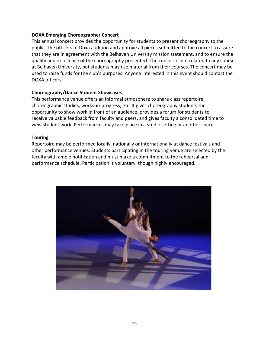#### **DOXA Emerging Choreographer Concert**

This annual concert provides the opportunity for students to present choreography to the public. The officers of Doxa audition and approve all pieces submitted to the concert to assure that they are in agreement with the Belhaven University mission statement, and to ensure the quality and excellence of the choreography presented. The concert is not related to any course at Belhaven University, but students may use material from their courses. The concert may be used to raise funds for the club's purposes. Anyone interested in this event should contact the DOXA officers.

## **Choreography/Dance Student Showcases**

This performance venue offers an informal atmosphere to share class repertoire, choreographic studies, works-in-progress, etc. It gives choreography students the opportunity to show work in front of an audience, provides a forum for students to receive valuable feedback from faculty and peers, and gives faculty a consolidated time to view student work. Performances may take place in a studio setting or another space.

#### **Touring**

Repertoire may be performed locally, nationally or internationally at dance festivals and other performance venues. Students participating in the touring venue are selected by the faculty with ample notification and must make a commitment to the rehearsal and performance schedule. Participation is voluntary, though highly encouraged.

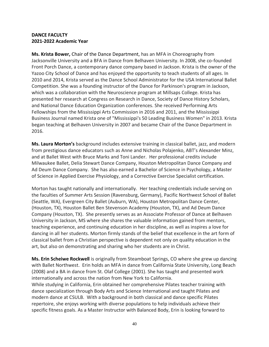## **DANCE FACULTY 2021-2022 Academic Year**

**Ms. Krista Bower,** Chair of the Dance Department, has an MFA in Choreography from Jacksonville University and a BFA in Dance from Belhaven University. In 2008, she co-founded Front Porch Dance, a contemporary dance company based in Jackson. Krista is the owner of the Yazoo City School of Dance and has enjoyed the opportunity to teach students of all ages. In 2010 and 2014, Krista served as the Dance School Administrator for the USA International Ballet Competition. She was a founding instructor of the Dance for Parkinson's program in Jackson, which was a collaboration with the Neuroscience program at Millsaps College. Krista has presented her research at Congress on Research in Dance, Society of Dance History Scholars, and National Dance Education Organization conferences. She received Performing Arts Fellowships from the Mississippi Arts Commission in 2016 and 2011, and the Mississippi Business Journal named Krista one of "Mississippi's 50 Leading Business Women" in 2013. Krista began teaching at Belhaven University in 2007 and became Chair of the Dance Department in 2016.

**Ms. Laura Morton's** background includes extensive training in classical ballet, jazz, and modern from prestigious dance educators such as Anne and Nicholas Polajenko, ABT's Alexander Minz, and at Ballet West with Bruce Marks and Toni Lander. Her professional credits include Milwaukee Ballet, Delia Stewart Dance Company, Houston Metropolitan Dance Company and Ad Deum Dance Company. She has also earned a Bachelor of Science in Psychology, a Master of Science in Applied Exercise Physiology, and a Corrective Exercise Specialist certification.

Morton has taught nationally and internationally. Her teaching credentials include serving on the faculties of Summer Arts Session (Ravensburg, Germany), Pacific Northwest School of Ballet (Seattle, WA), Evergreen City Ballet (Auburn, WA), Houston Metropolitan Dance Center, (Houston, TX), Houston Ballet Ben Stevenson Academy (Houston, TX), and Ad Deum Dance Company (Houston, TX). She presently serves as an Associate Professor of Dance at Belhaven University in Jackson, MS where she shares the valuable information gained from mentors, teaching experience, and continuing education in her discipline, as well as inspires a love for dancing in all her students. Morton firmly stands of the belief that excellence in the art form of classical ballet from a Christian perspective is dependent not only on quality education in the art, but also on demonstrating and sharing who her students are in Christ.

**Ms. Erin Scheiwe Rockwell** is originally from Steamboat Springs, CO where she grew up dancing with Ballet Northwest. Erin holds an MFA in dance from California State University, Long Beach (2008) and a BA in dance from St. Olaf College (2001). She has taught and presented work internationally and across the nation from New York to California.

While studying in California, Erin obtained her comprehensive Pilates teacher training with dance specialization through Body Arts and Science International and taught Pilates and modern dance at CSULB. With a background in both classical and dance specific Pilates repertoire, she enjoys working with diverse populations to help individuals achieve their specific fitness goals. As a Master Instructor with Balanced Body, Erin is looking forward to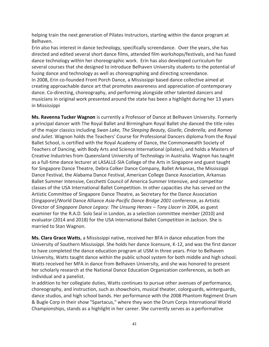helping train the next generation of Pilates Instructors, starting within the dance program at Belhaven.

Erin also has interest in dance technology, specifically screendance. Over the years, she has directed and edited several short dance films, attended film workshops/festivals, and has fused dance technology within her choreographic work. Erin has also developed curriculum for several courses that she designed to introduce Belhaven University students to the potential of fusing dance and technology as well as choreographing and directing screendance. In 2008, Erin co-founded Front Porch Dance, a Mississippi based dance collective aimed at creating approachable dance art that promotes awareness and appreciation of contemporary dance. Co-directing, choreography, and performing alongside other talented dancers and musicians in original work presented around the state has been a highlight during her 13 years in Mississippi

**Ms. Ravenna Tucker Wagnon** is currently a Professor of Dance at Belhaven University. Formerly a principal dancer with The Royal Ballet and Birmingham Royal Ballet she danced the title roles of the major classics including *Swan Lake, The Sleeping Beauty, Giselle, Cinderella,* and *Romeo and Juliet*. Wagnon holds the Teachers' Course for Professional Dancers diploma from the Royal Ballet School, is certified with the Royal Academy of Dance, the Commonwealth Society of Teachers of Dancing, with Body Arts and Science International (pilates), and holds a Masters of Creative Industries from Queensland University of Technology in Australia. Wagnon has taught as a full-time dance lecturer at LASALLE-SIA College of the Arts in Singapore and guest taught for Singapore Dance Theatre, Debra Colker Dance Company, Ballet Arkansas, the Mississippi Dance Festival, the Alabama Dance Festival, American College Dance Association, Arkansas Ballet Summer Intensive, Cecchetti Council of America Summer Intensive, and competitor classes of the USA International Ballet Competition. In other capacities she has served on the Artistic Committee of Singapore Dance Theatre, as Secretary for the Dance Association (Singapore)/World Dance Alliance *Asia-Pacific Dance Bridge 2001* conference, as Artistic Director of *Singapore Dance Legacy: The Unsung Heroes – Tony Llacer* in 2004, as guest examiner for the R.A.D. Solo Seal in London, as a selection committee member (2010) and evaluator (2014 and 2018) for the USA International Ballet Competition in Jackson. She is married to Stan Wagnon.

**Ms. Clara Grace Watts**, a Mississippi native, received her BFA in dance education from the University of Southern Mississippi. She holds her dance licensure, K-12, and was the first dancer to have completed the dance education program at USM in three years. Prior to Belhaven University, Watts taught dance within the public school system for both middle and high school. Watts received her MFA in dance from Belhaven University, and she was honored to present her scholarly research at the National Dance Education Organization conferences, as both an individual and a panelist.

In addition to her collegiate duties, Watts continues to pursue other avenues of performance, choreography, and instruction, such as showchoirs, musical theater, colorguards, winterguards, dance studios, and high school bands. Her performance with the 2008 Phantom Regiment Drum & Bugle Corp in their show "Spartacus," where they won the Drum Corps International World Championships, stands as a highlight in her career. She currently serves as a performative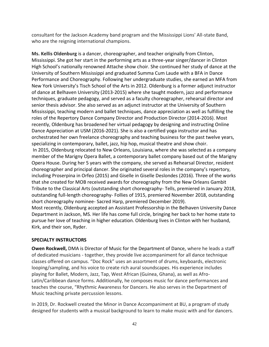consultant for the Jackson Academy band program and the Mississippi Lions' All-state Band, who are the reigning international champions.

**Ms. Kellis Oldenburg** is a dancer, choreographer, and teacher originally from Clinton, Mississippi. She got her start in the performing arts as a three-year singer/dancer in Clinton High School's nationally renowned Attache show choir. She continued her study of dance at the University of Southern Mississippi and graduated Summa Cum Laude with a BFA in Dance Performance and Choreography. Following her undergraduate studies, she earned an MFA from New York University's Tisch School of the Arts in 2012. Oldenburg is a former adjunct instructor of dance at Belhaven University (2013-2015) where she taught modern, jazz and performance techniques, graduate pedagogy, and served as a faculty choreographer, rehearsal director and senior thesis advisor. She also served as an adjunct instructor at the University of Southern Mississippi, teaching modern and ballet techniques, dance appreciation as well as fulfilling the roles of the Repertory Dance Company Director and Production Director (2014-2016). Most recently, Oldenburg has broadened her virtual pedagogy by designing and instructing Online Dance Appreciation at USM (2016-2021). She is also a certified yoga instructor and has orchestrated her own freelance choreography and teaching business for the past twelve years, specializing in contemporary, ballet, jazz, hip hop, musical theatre and show choir. In 2015, Oldenburg relocated to New Orleans, Louisiana, where she was selected as a company member of the Marigny Opera Ballet, a contemporary ballet company based out of the Marigny Opera House. During her 5 years with the company, she served as Rehearsal Director, resident choreographer and principal dancer. She originated several roles in the company's repertory, including Proserpina in Orfeo (2015) and Giselle in Giselle Deslondes (2016). Three of the works that she created for MOB received awards for choreography from the New Orleans Gambit Tribute to the Classical Arts (outstanding short choreography- Tells, premiered in January 2018, outstanding full-length choreography- Follies of 1915, premiered November 2018, outstanding short choreography nominee- Sacred Harp, premiered December 2019). Most recently, Oldenburg accepted an Assistant Professorship in the Belhaven University Dance Department in Jackson, MS. Her life has come full circle, bringing her back to her home state to pursue her love of teaching in higher education. Oldenburg lives in Clinton with her husband, Kirk, and their son, Ryder.

# **SPECIALTY INSTRUCTORS**

**Owen Rockwell,** DMA is Director of Music for the Department of Dance, where he leads a staff of dedicated musicians - together, they provide live accompaniment for all dance technique classes offered on campus. "Doc Rock" uses an assortment of drums, keyboards, electronic looping/sampling, and his voice to create rich aural soundscapes. His experience includes playing for Ballet, Modern, Jazz, Tap, West African (Guinea, Ghana), as well as Afro-Latin/Caribbean dance forms. Additionally, he composes music for dance performances and teaches the course, "Rhythmic Awareness for Dancers. He also serves in the Department of Music teaching private percussion lessons.

In 2019, Dr. Rockwell created the Minor in Dance Accompaniment at BU, a program of study designed for students with a musical background to learn to make music with and for dancers.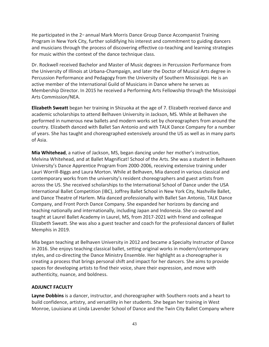He participated in the  $2<sub>nd</sub>$  annual Mark Morris Dance Group Dance Accompanist Training Program in New York City, further solidifying his interest and commitment to guiding dancers and musicians through the process of discovering effective co-teaching and learning strategies for music within the context of the dance technique class.

Dr. Rockwell received Bachelor and Master of Music degrees in Percussion Performance from the University of Illinois at Urbana-Champaign, and later the Doctor of Musical Arts degree in Percussion Performance and Pedagogy from the University of Southern Mississippi. He is an active member of the International Guild of Musicians in Dance where he serves as Membership Director. In 2015 he received a Performing Arts Fellowship through the Mississippi Arts Commission/NEA.

**Elizabeth Sweatt** began her training in Shizuoka at the age of 7. Elizabeth received dance and academic scholarships to attend Belhaven University in Jackson, MS. While at Belhaven she performed in numerous new ballets and modern works set by choreographers from around the country. Elizabeth danced with Ballet San Antonio and with TALK Dance Company for a number of years. She has taught and choreographed extensively around the US as well as in many parts of Asia.

**Mia Whitehead**, a native of Jackson, MS, began dancing under her mother's instruction, Melvina Whitehead, and at Ballet Magnificat! School of the Arts. She was a student in Belhaven University's Dance Apprentice Program from 2000-2006, receiving extensive training under Lauri Worrill-Biggs and Laura Morton. While at Belhaven, Mia danced in various classical and contemporary works from the university's resident choreographers and guest artists from across the US. She received scholarships to the International School of Dance under the USA International Ballet Competition (IBC), Joffrey Ballet School in New York City, Nashville Ballet, and Dance Theatre of Harlem. Mia danced professionally with Ballet San Antonio, TALK Dance Company, and Front Porch Dance Company. She expanded her horizons by dancing and teaching nationally and internationally, including Japan and Indonesia. She co-owned and taught at Laurel Ballet Academy in Laurel, MS, from 2017-2021 with friend and colleague Elizabeth Sweatt. She was also a guest teacher and coach for the professional dancers of Ballet Memphis in 2019.

Mia began teaching at Belhaven University in 2012 and became a Specialty Instructor of Dance in 2016. She enjoys teaching classical ballet, setting original works in modern/contemporary styles, and co-directing the Dance Ministry Ensemble. Her highlight as a choreographer is creating a process that brings personal shift and impact for her dancers. She aims to provide spaces for developing artists to find their voice, share their expression, and move with authenticity, nuance, and boldness.

# **ADJUNCT FACULTY**

**Layne Dobbins** is a dancer, instructor, and choreographer with Southern roots and a heart to build confidence, artistry, and versatility in her students. She began her training in West Monroe, Louisiana at Linda Lavender School of Dance and the Twin City Ballet Company where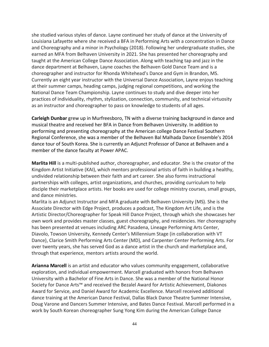she studied various styles of dance. Layne continued her study of dance at the University of Louisiana Lafayette where she received a BFA in Performing Arts with a concentration in Dance and Choreography and a minor in Psychology (2018). Following her undergraduate studies, she earned an MFA from Belhaven University in 2021. She has presented her choreography and taught at the American College Dance Association. Along with teaching tap and jazz in the dance department at Belhaven, Layne coaches the Belhaven Gold Dance Team and is a choreographer and instructor for Rhonda Whitehead's Dance and Gym in Brandon, MS. Currently an eight year instructor with the Universal Dance Association, Layne enjoys teaching at their summer camps, heading camps, judging regional competitions, and working the National Dance Team Championship. Layne continues to study and dive deeper into her practices of individuality, rhythm, stylization, connection, community, and technical virtuosity as an instructor and choreographer to pass on knowledge to students of all ages.

**Carleigh Dunbar** grew up in Murfreesboro, TN with a diverse training background in dance and musical theatre and received her BFA in Dance from Belhaven University. In addition to performing and presenting choreography at the American college Dance Festival Southern Regional Conference, she was a member of the Belhaven Bal Malhada Dance Ensemble's 2014 dance tour of South Korea. She is currently an Adjunct Professor of Dance at Belhaven and a member of the dance faculty at Power APAC.

**Marlita Hill** is a multi-published author, choreographer, and educator. She is the creator of the Kingdom Artist Initiative (KAI), which mentors professional artists of faith in building a healthy, undivided relationship between their faith and art career. She also forms instructional partnerships with colleges, artist organizations, and churches, providing curriculum to help disciple their marketplace artists. Her books are used for college ministry courses, small groups, and dance ministries.

Marlita is an Adjunct Instructor and MFA graduate with Belhaven University (MS). She is the Associate Director with Edge Project, produces a podcast, The Kingdom Art Life, and is the Artistic Director/Choreographer for Speak Hill Dance Project, through which she showcases her own work and provides master classes, guest choreography, and residencies. Her choreography has been presented at venues including ARC Pasadena, Lineage Performing Arts Center, Diavolo, Towson University, Kennedy Center's Millennium Stage (in collaboration with VT Dance), Clarice Smith Performing Arts Center (MD), and Carpenter Center Performing Arts. For over twenty years, she has served God as a dance artist in the church and marketplace and, through that experience, mentors artists around the world.

**Arianna Marcell** is an artist and educator who values community engagement, collaborative exploration, and individual empowerment. Marcell graduated with honors from Belhaven University with a Bachelor of Fine Arts in Dance. She was a member of the National Honor Society for Dance Arts™ and received the Bezalel Award for Artistic Achievement, Diakonos Award for Service, and Daniel Award for Academic Excellence. Marcell received additional dance training at the American Dance Festival, Dallas Black Dance Theatre Summer Intensive, Doug Varone and Dancers Summer Intensive, and Bates Dance Festival. Marcell performed in a work by South Korean choreographer Sung Yong Kim during the American College Dance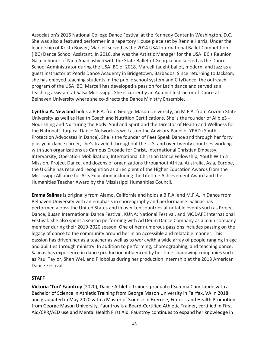Association's 2016 National College Dance Festival at the Kennedy Center in Washington, D.C. She was also a featured performer in a repertory House piece set by Rennie Harris. Under the leadership of Krista Bower, Marcell served as the 2014 USA International Ballet Competition (IBC) Dance School Assistant. In 2016, she was the Artistic Manager for the USA IBC's Reunion Gala in honor of Nina Ananiashvili with the State Ballet of Georgia and served as the Dance School Administrator during the USA IBC of 2018. Marcell taught ballet, modern, and jazz as a guest instructor at Pearls Dance Academy in Bridgetown, Barbados. Since returning to Jackson, she has enjoyed teaching students in the public school system and CityDance, the outreach program of the USA IBC. Marcell has developed a passion for Latin dance and served as a teaching assistant at Salsa Mississippi. She is currently an Adjunct Instructor of Dance at Belhaven University where she co-directs the Dance Ministry Ensemble.

**Cynthia A. Newland** holds a B.F.A. from George Mason University, an M.F.A. from Arizona State University as well as Health Coach and Nutrition Certifications. She is the founder of Alible3 - Nourishing and Nurturing the Body, Soul and Spirit and the Director of Health and Wellness for the National Liturgical Dance Network as well as on the Advisory Panel of YPAD (Youth Protection Advocates in Dance). She is the founder of Feet Speak Dance and through her forty plus year dance career, she's traveled throughout the U.S. and over twenty countries working with such organizations as Campus Crusade for Christ, International Christian Embassy, Intervarsity, Operation Mobilization, International Christian Dance Fellowship, Youth With a Mission, Project Dance, and dozens of organizations throughout Africa, Australia, Asia, Europe, the UK.She has received recognition as a recipient of the Higher Education Awards from the Mississippi Alliance for Arts Education including the Lifetime Achievement Award and the Humanities Teacher Award by the Mississippi Humanities Council.

**Emma Salinas** is originally from Alamo, California and holds a B.F.A. and M.F.A. in Dance from Belhaven University with an emphasis in choreography and performance. Salinas has performed across the United States and in over ten countries at notable events such as Project Dance, Busan International Dance Festival, KUNA: National Festival, and MODAFE International Festival. She also spent a season performing with Ad Deum Dance Company as a main company member during their 2019-2020 season. One of her numerous passions includes passing on the legacy of dance to the community around her in an accessible and relatable manner. This passion has driven her as a teacher as well as to work with a wide array of people ranging in age and abilities through ministry. In addition to performing, choreographing, and teaching dance, Salinas has experience in dance production influenced by her time shadowing companies such as Paul Taylor, Shen Wei, and Pilobolus during her production internship at the 2013 American Dance Festival.

#### **STAFF**

**Victoria 'Tori' Fauntroy** (2020), Dance Athletic Trainer, graduated Summa Cum Laude with a Bachelor of Science in Athletic Training from George Mason University in Fairfax, VA in 2018 and graduated in May 2020 with a Master of Science in Exercise, Fitness, and Health Promotion from George Mason University. Fauntroy is a Board-Certified Athletic Trainer, certified in First Aid/CPR/AED use and Mental Health First Aid. Fauntroy continues to expand her knowledge in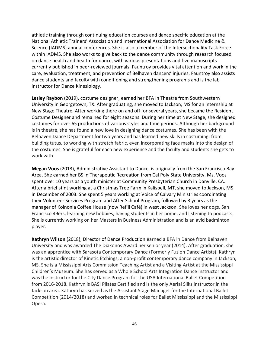athletic training through continuing education courses and dance specific education at the National Athletic Trainers' Association and International Association for Dance Medicine & Science (IADMS) annual conferences. She is also a member of the Intersectionality Task Force within IADMS. She also works to give back to the dance community through research focused on dance health and health for dance, with various presentations and five manuscripts currently published in peer-reviewed journals. Fauntroy provides vital attention and work in the care, evaluation, treatment, and prevention of Belhaven dancers' injuries. Fauntroy also assists dance students and faculty with conditioning and strengthening programs and is the lab instructor for Dance Kinesiology.

**Lesley Raybon** (2019), costume designer, earned her BFA in Theatre from Southwestern University in Georgetown, TX. After graduating, she moved to Jackson, MS for an internship at New Stage Theatre. After working there on and off for several years, she became the Resident Costume Designer and remained for eight seasons. During her time at New Stage, she designed costumes for over 65 productions of various styles and time periods. Although her background is in theatre, she has found a new love in designing dance costumes. She has been with the Belhaven Dance Department for two years and has learned new skills in costuming: from building tutus, to working with stretch fabric, even incorporating face masks into the design of the costumes. She is grateful for each new experience and the faculty and students she gets to work with.

**Megan Voos** (2013), Administrative Assistant to Dance, is originally from the San Francisco Bay Area. She earned her BS in Therapeutic Recreation from Cal Poly State University. Ms. Voos spent over 10 years as a youth minister at Community Presbyterian Church in Danville, CA. After a brief stint working at a Christmas Tree Farm in Kalispell, MT, she moved to Jackson, MS in December of 2003. She spent 5 years working at Voice of Calvary Ministries coordinating their Volunteer Services Program and After School Program, followed by 3 years as the manager of Koinonia Coffee House (now Refill Café) in west Jackson. She loves her dogs, San Francisco 49ers, learning new hobbies, having students in her home, and listening to podcasts. She is currently working on her Masters in Business Administration and is an avid badminton player.

**Kathryn Wilson** (2018), Director of Dance Production earned a BFA in Dance from Belhaven University and was awarded The Diakonos Award her senior year (2014). After graduation, she was an apprentice with Sarasota Contemporary Dance (Formerly Fuzion Dance Artists). Kathryn is the artistic director of Kinetic Etchings, a non-profit contemporary dance company in Jackson, MS. She is a Mississippi Arts Commission Teaching Artist and a Visiting Artist at the Mississippi Children's Museum. She has served as a Whole School Arts Integration Dance Instructor and was the instructor for the City Dance Program for the USA International Ballet Competition from 2016-2018. Kathryn is BASI Pilates Certified and is the only Aerial Silks instructor in the Jackson area. Kathryn has served as the Assistant Stage Manager for the International Ballet Competition (2014/2018) and worked in technical roles for Ballet Mississippi and the Mississippi Opera.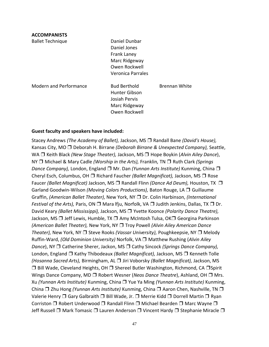## **ACCOMPANISTS**

Ballet Technique **Daniel Dunbar** 

Daniel Jones Frank Laney Marc Ridgeway Owen Rockwell Veronica Parrales

Modern and Performance Bud Berthold Brennan White

Hunter Gibson Josiah Pervis Marc Ridgeway Owen Rockwell

#### **Guest faculty and speakers have included:**

Stacey Andrews *(The Academy of Ballet),* Jackson, MS ❒ Randall Bane *(David's House),*  Kansas City, MO ❒ Deborah H. Birrane *(Deborah Birrane & Unexpected Company),* Seattle, WA ❒ Keith Black *(New Stage Theater),* Jackson, MS ❒ Hope Boykin (*Alvin Ailey Dance*), NY ❒ Michael & Mary Cadle *(Worship in the Arts),* Franklin*,* TN ❒ Ruth Clark *(Springs Dance Company),* London, England ❒ Mr. Dan *(Yunnan Arts Institute)* Kunming, China ❒ Cheryl Esch, Columbus, OH ❒ Richard Faucher *(Ballet Magnificat),* Jackson, MS ❒ Rose Faucer *(Ballet Magnificat)* Jackson, MS ❒ Randall Flinn *(Dance Ad Deum),* Houston, TX ❒ Garland Goodwin-Wilson *(Moving Colors Productions),* Baton Rouge, LA ❒ Guillaume Graffin, *(American Ballet Theater),* New York, NY ❒ Dr. Colin Harbinson, *(International Festival of the Arts),* Paris, ON ❒ Mara lfju, Norfolk, VA ❒ Judith Jenkins, Dallas, TX ❒ Dr. David Keary *(Ballet Mississippi),* Jackson, MS ❒ Yvette Koonce *(Polarity Dance Theatre),*  Jackson, MS ❒ Jeff Lewis, Humble, TX ❒ Amy McIntosh Tulsa, OK❒ Georgina Parkinson *(American Ballet Theater),* New York, NY ❒ Troy Powell *(Alvin Ailey American Dance Theater),* New York, NY ❒ Steve Rooks *(Vassar University),* Poughkeepsie, NY ❒ Melody Ruffin-Ward, *(Old Dominion University)* Norfolk, VA ❒ Matthew Rushing (*Alvin Ailey Dance*), NY ❒ Catherine Sherer, Jackon, MS ❒ Cathy Sincock *(Springs Dance Company),*  London, England ❒ Kathy Thibodeaux *(Ballet Magnificat),* Jackson, MS ❒ Kenneth Tolle *(Hosanna Sacred Arts),* Birmingham, AL ❒ Jiri Voborsky *(Ballet Magnificat),* Jackson, MS ❒ Bill Wade, Cleveland Heights, OH ❒ Shereel Butler Washington, Richmond, CA ❒Spirit Wings Dance Company, MD ❒ Robert Wesner (*Neos Dance Theatre*), Ashland, OH ❒ Mrs. Xu *(Yunnan Arts lnstitute)* Kunming, China ❒ Yue Ya Ming *(Yunnan Arts Institute)* Kunming, China ❒ Zhu Hong *(Yunnan Arts Institute)* Kunming, China ❒ Aaron Chen, Nashville, TN ❒ Valerie Henry ❒ Gary Galbraith ❒ Bill Wade, Jr. ❒ Merrie Kidd ❒ Dorrell Martin ❒ Ryan Corriston ❒ Robert Underwood ❒ Randall Flinn ❒ Michael Bearden ❒ Marc Wayne ❒ Jeff Russell ❒ Mark Tomasic ❒ Lauren Anderson ❒ Vincent Hardy ❒ Stephanie Miracle ❒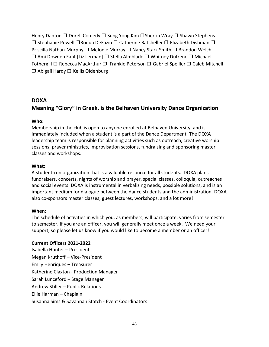Henry Danton ❒ Durell Comedy ❒ Sung Yong Kim ❒Sheron Wray ❒ Shawn Stephens ❒ Stephanie Powell ❒Ronda DeFazio ❒ Catherine Batcheller ❒ Elizabeth Dishman ❒ Priscilla Nathan-Murphy ❒ Melonie Murray ❒ Nancy Stark Smith ❒ Brandon Welch ❒ Ami Dowden Fant [Liz Lerman] ❒ Stella Almblade ❒ Whitney Dufrene ❒ Michael Fothergill ❒ Rebecca MacArthur ❒ Frankie Peterson ❒ Gabriel Speiller ❒ Caleb Mitchell ❒ Abigail Hardy ❒ Kellis Oldenburg

# **DOXA Meaning "Glory" in Greek, is the Belhaven University Dance Organization**

#### **Who:**

Membership in the club is open to anyone enrolled at Belhaven University, and is immediately included when a student is a part of the Dance Department. The DOXA leadership team is responsible for planning activities such as outreach, creative worship sessions, prayer ministries, improvisation sessions, fundraising and sponsoring master classes and workshops.

#### **What:**

A student-run organization that is a valuable resource for all students. DOXA plans fundraisers, concerts, nights of worship and prayer, special classes, colloquia, outreaches and social events. DOXA is instrumental in verbalizing needs, possible solutions, and is an important medium for dialogue between the dance students and the administration. DOXA also co-sponsors master classes, guest lectures, workshops, and a lot more!

#### **When:**

The schedule of activities in which you, as members, will participate, varies from semester to semester. If you are an officer, you will generally meet once a week. We need your support, so please let us know if you would like to become a member or an officer!

#### **Current Officers 2021-2022**

Isabella Hunter – President Megan Kruthoff – Vice-President Emily Henriques – Treasurer Katherine Claxton - Production Manager Sarah Lunceford – Stage Manager Andrew Stiller – Public Relations Ellie Harman – Chaplain Susanna Sims & Savannah Statch - Event Coordinators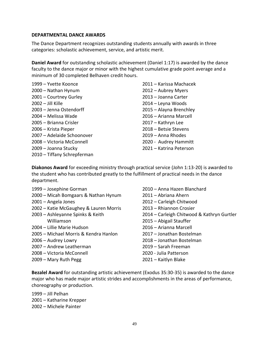#### **DEPARTMENTAL DANCE AWARDS**

The Dance Department recognizes outstanding students annually with awards in three categories: scholastic achievement, service, and artistic merit.

**Daniel Award** for outstanding scholastic achievement (Daniel 1:17) is awarded by the dance faculty to the dance major or minor with the highest cumulative grade point average and a minimum of 30 completed Belhaven credit hours.

– Yvette Koonce – Nathan Hynum – Courtney Gurley – Jill Kille – Jenna Ostendorff – Melissa Wade – Brianna Crisler – Krista Pieper – Adelaide Schoonover – Victoria McConnell – Joanna Stucky – Tiffany Schrepferman – Karissa Machacek – Aubrey Myers – Joanna Carter – Leyna Woods – Alayna Brenchley – Arianna Marcell – Kathryn Lee – Betsie Stevens – Anna Rhodes 2020 - Audrey Hammitt – Katrina Peterson

**Diakonos Award** for exceeding ministry through practical service (John 1:13-20) is awarded to the student who has contributed greatly to the fulfillment of practical needs in the dance department.

- Josephine Gorman
- Micah Bomgaars & Nathan Hynum
- Angela Jones
- Katie McGaughey & Lauren Morris
- Ashleyanne Spinks & Keith Williamson
- Lillie Marie Hudson
- Michael Morris & Kendra Hanlon
- Audrey Lowry
- Andrew Leatherman
- Victoria McConnell
- Mary Ruth Pegg
- Anna Hazen Blanchard
- Abriana Ahern
- Carleigh Chitwood
- Rhiannon Crosier
- Carleigh Chitwood & Kathryn Gurtler
- Abigail Stauffer
- Arianna Marcell
- Jonathan Bostelman
- Jonathan Bostelman
- Sarah Freeman
- 2020 Julia Patterson
- Kaitlyn Blake

**Bezalel Award** for outstanding artistic achievement (Exodus 35:30-35) is awarded to the dance major who has made major artistic strides and accomplishments in the areas of performance, choreography or production.

– Jill Pelhan – Katharine Krepper – Michele Painter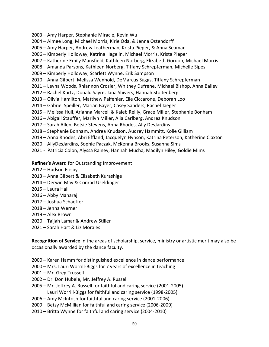- Amy Harper, Stephanie Miracle, Kevin Wu
- Aimee Long, Michael Morris, Kirie Oda, & Jenna Ostendorff
- Amy Harper, Andrew Leatherman, Krista Pieper, & Anna Seaman
- Kimberly Holloway, Katrina Hagelin, Michael Morris, Krista Pieper
- Katherine Emily Mansfield, Kathleen Norberg, Elizabeth Gordon, Michael Morris
- Amanda Parsons, Kathleen Norberg, Tiffany Schrepferman, Michelle Sipes
- Kimberly Holloway, Scarlett Wynne, Erik Sampson
- Anna Gilbert, Melissa Wenhold, DeMarcus Suggs, Tiffany Schrepferman
- Leyna Woods, Rhiannon Crosier, Whitney Dufrene, Michael Bishop, Anna Bailey
- Rachel Kurtz, Donald Sayre, Jana Shivers, Hannah Stoltenberg
- Olivia Hamilton, Matthew Palfenier, Elle Ciccarone, Deborah Loo
- Gabriel Speiller, Marian Bayer, Casey Sanders, Rachel Jaeger
- Melissa Hull, Arianna Marcell & Kaleb Reilly, Grace Miller, Stephanie Bonham
- Abigail Stauffer, Marilyn Miller, Alia Carlberg, Andrea Knudson
- Sarah Allen, Betsie Stevens, Anna Rhodes, Ally DesJardins
- Stephanie Bonham, Andrea Knudson, Audrey Hammitt, Kolie Gilliam
- Anna Rhodes, Abri Effland, Jacquelyn Hynson, Katrina Peterson, Katherine Claxton
- AllyDesJardins, Sophie Paczak, McKenna Brooks, Susanna Sims
- 2021 Patricia Colon, Alyssa Rainey, Hannah Mucha, Madilyn Hiley, Goldie Mims

#### **Refiner's Award** for Outstanding Improvement

- Hudson Frisby
- Anna Gilbert & Elisabeth Kurashige
- Derwin May & Conrad Useldinger
- Laura Hall
- Abby Maharaj
- Joshua Schaeffer
- Jenna Werner
- Alex Brown
- Taijah Lamar & Andrew Stiller
- Sarah Hart & Liz Morales

**Recognition of Service** in the areas of scholarship, service, ministry or artistic merit may also be occasionally awarded by the dance faculty.

- Karen Hamm for distinguished excellence in dance performance
- Mrs. Lauri Worrill-Biggs for 7 years of excellence in teaching
- Mr. Greg Trussell
- Dr. Don Hubele, Mr. Jeffrey A. Russell
- Mr. Jeffrey A. Russell for faithful and caring service (2001-2005) Lauri Worrill-Biggs for faithful and caring service (1998-2005)
- Amy McIntosh for faithful and caring service (2001-2006)
- Betsy McMillian for faithful and caring service (2006-2009)
- Britta Wynne for faithful and caring service (2004-2010)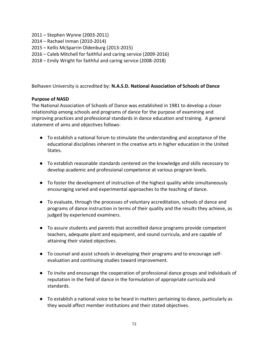- 2011 Stephen Wynne (2003-2011)
- 2014 Rachael Inman (2010-2014)
- 2015 Kellis McSparrin Oldenburg (2013-2015)
- 2016 Caleb Mitchell for faithful and caring service (2009-2016)
- 2018 Emily Wright for faithful and caring service (2008-2018)

Belhaven University is accredited by: **N.A.S.D. National Association of Schools of Dance**

## **Purpose of NASD**

The National Association of Schools of Dance was established in 1981 to develop a closer relationship among schools and programs of dance for the purpose of examining and improving practices and professional standards in dance education and training. A general statement of aims and objectives follows:

- To establish a national forum to stimulate the understanding and acceptance of the educational disciplines inherent in the creative arts in higher education in the United States.
- To establish reasonable standards centered on the knowledge and skills necessary to develop academic and professional competence at various program levels.
- To foster the development of instruction of the highest quality while simultaneously encouraging varied and experimental approaches to the teaching of dance.
- To evaluate, through the processes of voluntary accreditation, schools of dance and programs of dance instruction in terms of their quality and the results they achieve, as judged by experienced examiners.
- To assure students and parents that accredited dance programs provide competent teachers, adequate plant and equipment, and sound curricula, and are capable of attaining their stated objectives.
- To counsel and assist schools in developing their programs and to encourage selfevaluation and continuing studies toward improvement.
- To invite and encourage the cooperation of professional dance groups and individuals of reputation in the field of dance in the formulation of appropriate curricula and standards.
- To establish a national voice to be heard in matters pertaining to dance, particularly as they would affect member institutions and their stated objectives.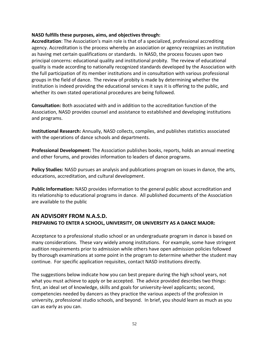#### **NASD fulfills these purposes, aims, and objectives through:**

**Accreditation**: The Association's main role is that of a specialized, professional accrediting agency. Accreditation is the process whereby an association or agency recognizes an institution as having met certain qualifications or standards. In NASD, the process focuses upon two principal concerns: educational quality and institutional probity. The review of educational quality is made according to nationally recognized standards developed by the Association with the full participation of its member institutions and in consultation with various professional groups in the field of dance. The review of probity is made by determining whether the institution is indeed providing the educational services it says it is offering to the public, and whether its own stated operational procedures are being followed.

**Consultation:** Both associated with and in addition to the accreditation function of the Association, NASD provides counsel and assistance to established and developing institutions and programs.

**Institutional Research:** Annually, NASD collects, compiles, and publishes statistics associated with the operations of dance schools and departments.

**Professional Development:** The Association publishes books, reports, holds an annual meeting and other forums, and provides information to leaders of dance programs.

**Policy Studies:** NASD pursues an analysis and publications program on issues in dance, the arts, educations, accreditation, and cultural development.

**Public Information:** NASD provides information to the general public about accreditation and its relationship to educational programs in dance. All published documents of the Association are available to the public

# **AN ADVISORY FROM N.A.S.D. PREPARING TO ENTER A SCHOOL, UNIVERSITY, OR UNIVERSITY AS A DANCE MAJOR:**

Acceptance to a professional studio school or an undergraduate program in dance is based on many considerations. These vary widely among institutions. For example, some have stringent audition requirements prior to admission while others have open admission policies followed by thorough examinations at some point in the program to determine whether the student may continue. For specific application requisites, contact NASD institutions directly.

The suggestions below indicate how you can best prepare during the high school years, not what you must achieve to apply or be accepted. The advice provided describes two things: first, an ideal set of knowledge, skills and goals for university-level applicants; second, competencies needed by dancers as they practice the various aspects of the profession in university, professional studio schools, and beyond. In brief, you should learn as much as you can as early as you can.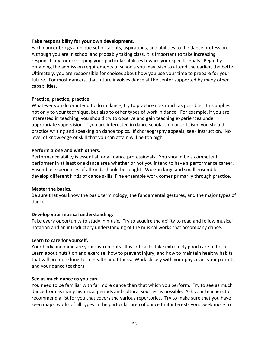#### **Take responsibility for your own development.**

Each dancer brings a unique set of talents, aspirations, and abilities to the dance profession. Although you are in school and probably taking class, it is important to take increasing responsibility for developing your particular abilities toward your specific goals. Begin by obtaining the admission requirements of schools you may wish to attend the earlier, the better. Ultimately, you are responsible for choices about how you use your time to prepare for your future. For most dancers, that future involves dance at the center supported by many other capabilities.

#### **Practice, practice, practice.**

Whatever you do or intend to do in dance, try to practice it as much as possible. This applies not only to your technique, but also to other types of work in dance. For example, if you are interested in teaching, you should try to observe and gain teaching experiences under appropriate supervision. If you are interested in dance scholarship or criticism, you should practice writing and speaking on dance topics. If choreography appeals, seek instruction. No level of knowledge or skill that you can attain will be too high.

## **Perform alone and with others.**

Performance ability is essential for all dance professionals. You should be a competent performer in at least one dance area whether or not you intend to have a performance career. Ensemble experiences of all kinds should be sought. Work in large and small ensembles develop different kinds of dance skills. Fine ensemble work comes primarily through practice.

#### **Master the basics.**

Be sure that you know the basic terminology, the fundamental gestures, and the major types of dance.

# **Develop your musical understanding.**

Take every opportunity to study in music. Try to acquire the ability to read and follow musical notation and an introductory understanding of the musical works that accompany dance.

#### **Learn to care for yourself.**

Your body and mind are your instruments. It is critical to take extremely good care of both. Learn about nutrition and exercise, how to prevent injury, and how to maintain healthy habits that will promote long-term health and fitness. Work closely with your physician, your parents, and your dance teachers.

#### **See as much dance as you can.**

You need to be familiar with far more dance than that which you perform. Try to see as much dance from as many historical periods and cultural sources as possible. Ask your teachers to recommend a list for you that covers the various repertories. Try to make sure that you have seen major works of all types in the particular area of dance that interests you. Seek more to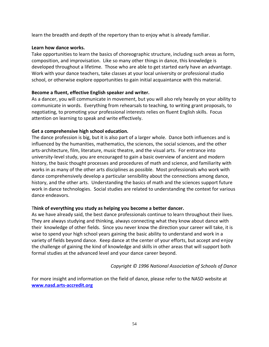learn the breadth and depth of the repertory than to enjoy what is already familiar.

## **Learn how dance works.**

Take opportunities to learn the basics of choreographic structure, including such areas as form, composition, and improvisation. Like so many other things in dance, this knowledge is developed throughout a lifetime. Those who are able to get started early have an advantage. Work with your dance teachers, take classes at your local university or professional studio school, or otherwise explore opportunities to gain initial acquaintance with this material.

# **Become a fluent, effective English speaker and writer.**

As a dancer, you will communicate in movement, but you will also rely heavily on your ability to communicate in words. Everything from rehearsals to teaching, to writing grant proposals, to negotiating, to promoting your professional interests relies on fluent English skills. Focus attention on learning to speak and write effectively.

# **Get a comprehensive high school education.**

The dance profession is big, but it is also part of a larger whole. Dance both influences and is influenced by the humanities, mathematics, the sciences, the social sciences, and the other arts-architecture, film, literature, music theatre, and the visual arts. For entrance into university-level study, you are encouraged to gain a basic overview of ancient and modern history, the basic thought processes and procedures of math and science, and familiarity with works in as many of the other arts disciplines as possible. Most professionals who work with dance comprehensively develop a particular sensibility about the connections among dance, history, and the other arts. Understanding the basics of math and the sciences support future work in dance technologies. Social studies are related to understanding the context for various dance endeavors.

# T**hink of everything you study as helping you become a better dancer.**

As we have already said, the best dance professionals continue to learn throughout their lives. They are always studying and thinking, always connecting what they know about dance with their knowledge of other fields. Since you never know the direction your career will take, it is wise to spend your high school years gaining the basic ability to understand and work in a variety of fields beyond dance. Keep dance at the center of your efforts, but accept and enjoy the challenge of gaining the kind of knowledge and skills in other areas that will support both formal studies at the advanced level and your dance career beyond.

# *Copyright © 1996 National Association of Schools of Dance*

For more insight and information on the field of dance, please refer to the NASD website at **www.nasd.arts-accredit.org**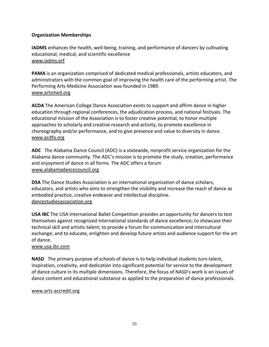# **Organization Memberships**

**IADMS** enhances the health, well-being, training, and performance of dancers by cultivating educational, medical, and scientific excellence [www.iadms.orf](http://www.iadms.orf/)

**PAMA** is an organization comprised of dedicated medical professionals, artists educators, and administrators with the common goal of improving the health care of the performing artist. The Performing Arts Medicine Association was founded in 1989. [www.artsmed.org](http://www.artsmed.org/)

**ACDA** The American College Dance Association exists to support and affirm dance in higher education through regional conferences, the adjudication process, and national festivals. The educational mission of the Association is to foster creative potential, to honor multiple approaches to scholarly and creative research and activity, to promote excellence in choreography and/or performance, and to give presence and value to diversity in dance. [www.acdfa.org](http://www.acdfa.org/)

**ADC** The Alabama Dance Council (ADC) is a statewide, nonprofit service organization for the Alabama dance community. The ADC's mission is to promote the study, creation, performance and enjoyment of dance in all forms. The ADC offers a forum [www.alabamadancecouncil.org](http://www.alabamadancecouncil.org/)

**DSA** The Dance Studies Association is an international organization of dance scholars, educators, and artists who aims to strengthen the visibility and increase the reach of dance as embodied practice, creative endeavor and intellectual discipline. dancestudiesassociation.org

**USA IBC** The USA International Ballet Competition provides an opportunity for dancers to test themselves against recognized international standards of dance excellence; to showcase their technical skill and artistic talent; to provide a forum for communication and intercultural exchange; and to educate, enlighten and develop future artists and audience support for the art of dance.

# [www.usa.ibc.com](http://www.usa.ibc.com/)

**NASD** The primary purpose of schools of dance is to help individual students turn talent, inspiration, creativity, and dedication into significant potential for service to the development of dance culture in its multiple dimensions. Therefore, the focus of NASD's work is on issues of dance content and educational substance as applied to the preparation of dance professionals.

#### www.arts-accredit.org